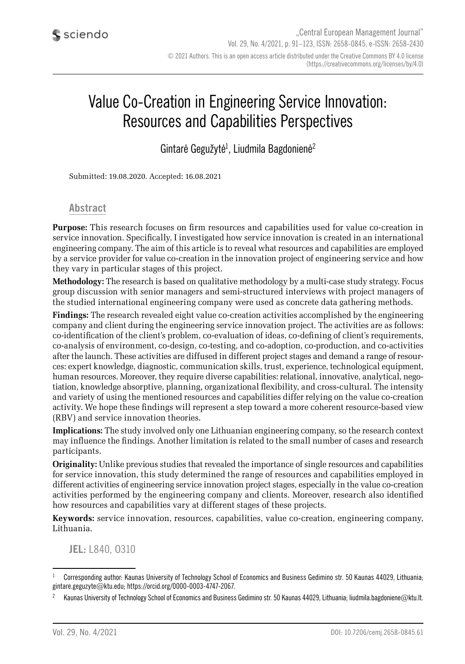# Value Co-Creation in Engineering Service Innovation: Resources and Capabilities Perspectives

Gintarė Gegužytė<sup>1</sup>, Liudmila Bagdonienė<sup>2</sup>

Submitted: 19.08.2020. Accepted: 16.08.2021

#### **Abstract**

**Purpose:** This research focuses on firm resources and capabilities used for value co-creation in service innovation. Specifically, I investigated how service innovation is created in an international engineering company. The aim of this article is to reveal what resources and capabilities are employed by a service provider for value co-creation in the innovation project of engineering service and how they vary in particular stages of this project.

**Methodology:** The research is based on qualitative methodology by a multi-case study strategy. Focus group discussion with senior managers and semi-structured interviews with project managers of the studied international engineering company were used as concrete data gathering methods.

**Findings:** The research revealed eight value co-creation activities accomplished by the engineering company and client during the engineering service innovation project. The activities are as follows: co-identification of the client's problem, co-evaluation of ideas, co-defining of client's requirements, co-analysis of environment, co-design, co-testing, and co-adoption, co-production, and co-activities after the launch. These activities are diffused in different project stages and demand a range of resources: expert knowledge, diagnostic, communication skills, trust, experience, technological equipment, human resources. Moreover, they require diverse capabilities: relational, innovative, analytical, negotiation, knowledge absorptive, planning, organizational flexibility, and cross-cultural. The intensity and variety of using the mentioned resources and capabilities differ relying on the value co-creation activity. We hope these findings will represent a step toward a more coherent resource-based view (RBV) and service innovation theories.

**Implications:** The study involved only one Lithuanian engineering company, so the research context may influence the findings. Another limitation is related to the small number of cases and research participants.

**Originality:** Unlike previous studies that revealed the importance of single resources and capabilities for service innovation, this study determined the range of resources and capabilities employed in different activities of engineering service innovation project stages, especially in the value co-creation activities performed by the engineering company and clients. Moreover, research also identified how resources and capabilities vary at different stages of these projects.

**Keywords:** service innovation, resources, capabilities, value co-creation, engineering company, Lithuania.

**JEL:** L840, O310

<sup>1</sup> Corresponding author: Kaunas University of Technology School of Economics and Business Gedimino str. 50 Kaunas 44029, Lithuania; gintare.geguzyte@ktu.edu; https://orcid.org/0000-0003-4747-2067.

<sup>2</sup> Kaunas University of Technology School of Economics and Business Gedimino str. 50 Kaunas 44029, Lithuania; liudmila.bagdoniene@ktu.lt.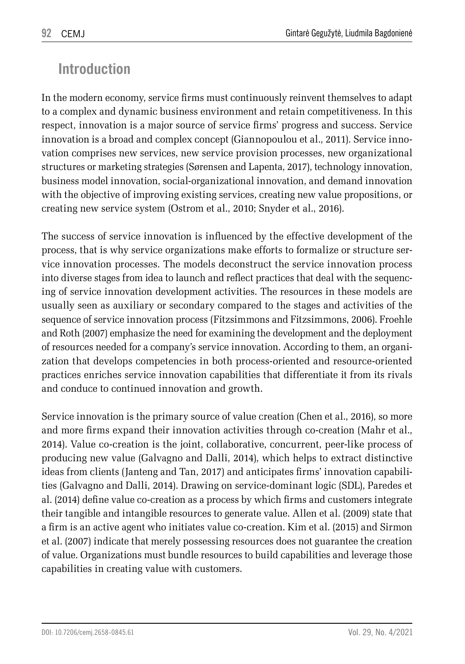# **Introduction**

In the modern economy, service firms must continuously reinvent themselves to adapt to a complex and dynamic business environment and retain competitiveness. In this respect, innovation is a major source of service firms' progress and success. Service innovation is a broad and complex concept (Giannopoulou et al., 2011). Service innovation comprises new services, new service provision processes, new organizational structures or marketing strategies (Sørensen and Lapenta, 2017), technology innovation, business model innovation, social-organizational innovation, and demand innovation with the objective of improving existing services, creating new value propositions, or creating new service system (Ostrom et al., 2010; Snyder et al., 2016).

The success of service innovation is influenced by the effective development of the process, that is why service organizations make efforts to formalize or structure service innovation processes. The models deconstruct the service innovation process into diverse stages from idea to launch and reflect practices that deal with the sequencing of service innovation development activities. The resources in these models are usually seen as auxiliary or secondary compared to the stages and activities of the sequence of service innovation process (Fitzsimmons and Fitzsimmons, 2006). Froehle and Roth (2007) emphasize the need for examining the development and the deployment of resources needed for a company's service innovation. According to them, an organization that develops competencies in both process-oriented and resource-oriented practices enriches service innovation capabilities that differentiate it from its rivals and conduce to continued innovation and growth.

Service innovation is the primary source of value creation (Chen et al., 2016), so more and more firms expand their innovation activities through co-creation (Mahr et al., 2014). Value co-creation is the joint, collaborative, concurrent, peer-like process of producing new value (Galvagno and Dalli, 2014), which helps to extract distinctive ideas from clients (Janteng and Tan, 2017) and anticipates firms' innovation capabilities (Galvagno and Dalli, 2014). Drawing on service-dominant logic (SDL), Paredes et al. (2014) define value co-creation as a process by which firms and customers integrate their tangible and intangible resources to generate value. Allen et al. (2009) state that a firm is an active agent who initiates value co-creation. Kim et al. (2015) and Sirmon et al. (2007) indicate that merely possessing resources does not guarantee the creation of value. Organizations must bundle resources to build capabilities and leverage those capabilities in creating value with customers.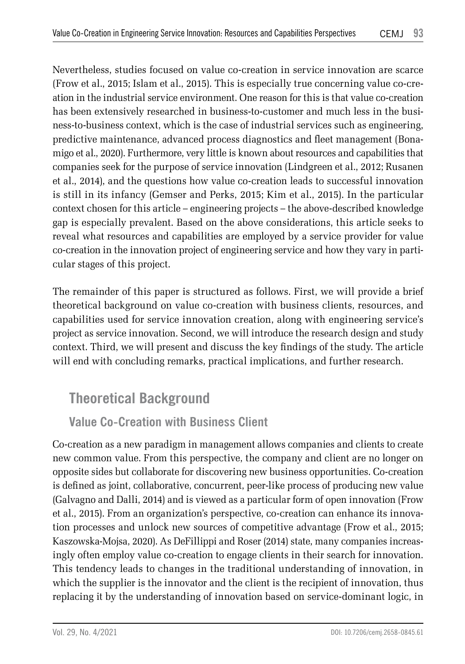Nevertheless, studies focused on value co-creation in service innovation are scarce (Frow et al., 2015; Islam et al., 2015). This is especially true concerning value co-creation in the industrial service environment. One reason for this is that value co-creation has been extensively researched in business-to-customer and much less in the business-to-business context, which is the case of industrial services such as engineering, predictive maintenance, advanced process diagnostics and fleet management (Bonamigo et al., 2020). Furthermore, very little is known about resources and capabilities that companies seek for the purpose of service innovation (Lindgreen et al., 2012; Rusanen et al., 2014), and the questions how value co-creation leads to successful innovation is still in its infancy (Gemser and Perks, 2015; Kim et al., 2015). In the particular context chosen for this article – engineering projects – the above-described knowledge gap is especially prevalent. Based on the above considerations, this article seeks to reveal what resources and capabilities are employed by a service provider for value co-creation in the innovation project of engineering service and how they vary in particular stages of this project.

The remainder of this paper is structured as follows. First, we will provide a brief theoretical background on value co-creation with business clients, resources, and capabilities used for service innovation creation, along with engineering service's project as service innovation. Second, we will introduce the research design and study context. Third, we will present and discuss the key findings of the study. The article will end with concluding remarks, practical implications, and further research.

# **Theoretical Background**

## **Value Co-Creation with Business Client**

Co-creation as a new paradigm in management allows companies and clients to create new common value. From this perspective, the company and client are no longer on opposite sides but collaborate for discovering new business opportunities. Co-creation is defined as joint, collaborative, concurrent, peer-like process of producing new value (Galvagno and Dalli, 2014) and is viewed as a particular form of open innovation (Frow et al., 2015). From an organization's perspective, co-creation can enhance its innovation processes and unlock new sources of competitive advantage (Frow et al., 2015; Kaszowska-Mojsa, 2020). As DeFillippi and Roser (2014) state, many companies increasingly often employ value co-creation to engage clients in their search for innovation. This tendency leads to changes in the traditional understanding of innovation, in which the supplier is the innovator and the client is the recipient of innovation, thus replacing it by the understanding of innovation based on service-dominant logic, in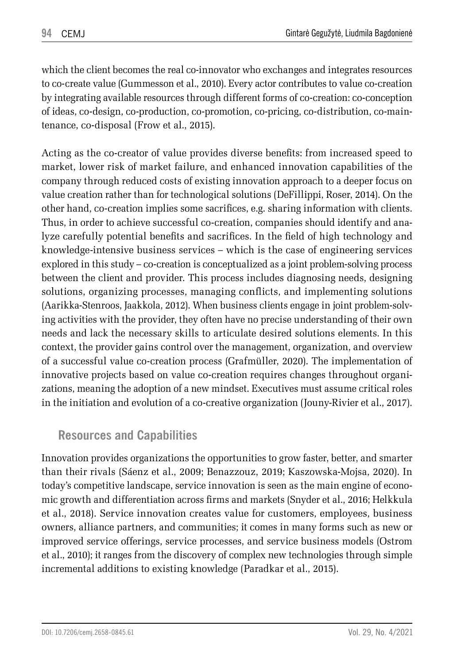which the client becomes the real co-innovator who exchanges and integrates resources to co-create value (Gummesson et al., 2010). Every actor contributes to value co-creation by integrating available resources through different forms of co-creation: co-conception of ideas, co-design, co-production, co-promotion, co-pricing, co-distribution, co-maintenance, co-disposal (Frow et al., 2015).

Acting as the co-creator of value provides diverse benefits: from increased speed to market, lower risk of market failure, and enhanced innovation capabilities of the company through reduced costs of existing innovation approach to a deeper focus on value creation rather than for technological solutions (DeFillippi, Roser, 2014). On the other hand, co-creation implies some sacrifices, e.g. sharing information with clients. Thus, in order to achieve successful co-creation, companies should identify and analyze carefully potential benefits and sacrifices. In the field of high technology and knowledge-intensive business services – which is the case of engineering services explored in this study – co-creation is conceptualized as a joint problem-solving process between the client and provider. This process includes diagnosing needs, designing solutions, organizing processes, managing conflicts, and implementing solutions (Aarikka-Stenroos, Jaakkola, 2012). When business clients engage in joint problem-solving activities with the provider, they often have no precise understanding of their own needs and lack the necessary skills to articulate desired solutions elements. In this context, the provider gains control over the management, organization, and overview of a successful value co-creation process (Grafmüller, 2020). The implementation of innovative projects based on value co-creation requires changes throughout organizations, meaning the adoption of a new mindset. Executives must assume critical roles in the initiation and evolution of a co-creative organization (Jouny-Rivier et al., 2017).

### **Resources and Capabilities**

Innovation provides organizations the opportunities to grow faster, better, and smarter than their rivals (Sáenz et al., 2009; Benazzouz, 2019; Kaszowska-Mojsa, 2020). In today's competitive landscape, service innovation is seen as the main engine of economic growth and differentiation across firms and markets (Snyder et al., 2016; Helkkula et al., 2018). Service innovation creates value for customers, employees, business owners, alliance partners, and communities; it comes in many forms such as new or improved service offerings, service processes, and service business models (Ostrom et al., 2010); it ranges from the discovery of complex new technologies through simple incremental additions to existing knowledge (Paradkar et al., 2015).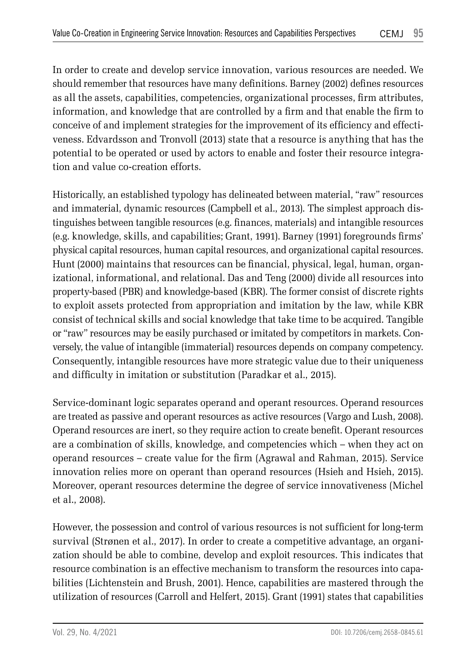In order to create and develop service innovation, various resources are needed. We should remember that resources have many definitions. Barney (2002) defines resources as all the assets, capabilities, competencies, organizational processes, firm attributes, information, and knowledge that are controlled by a firm and that enable the firm to conceive of and implement strategies for the improvement of its efficiency and effectiveness. Edvardsson and Tronvoll (2013) state that a resource is anything that has the potential to be operated or used by actors to enable and foster their resource integration and value co-creation efforts.

Historically, an established typology has delineated between material, "raw" resources and immaterial, dynamic resources (Campbell et al., 2013). The simplest approach distinguishes between tangible resources (e.g. finances, materials) and intangible resources (e.g. knowledge, skills, and capabilities; Grant, 1991). Barney (1991) foregrounds firms' physical capital resources, human capital resources, and organizational capital resources. Hunt (2000) maintains that resources can be financial, physical, legal, human, organizational, informational, and relational. Das and Teng (2000) divide all resources into property-based (PBR) and knowledge-based (KBR). The former consist of discrete rights to exploit assets protected from appropriation and imitation by the law, while KBR consist of technical skills and social knowledge that take time to be acquired. Tangible or "raw" resources may be easily purchased or imitated by competitors in markets. Conversely, the value of intangible (immaterial) resources depends on company competency. Consequently, intangible resources have more strategic value due to their uniqueness and difficulty in imitation or substitution (Paradkar et al., 2015).

Service-dominant logic separates operand and operant resources. Operand resources are treated as passive and operant resources as active resources (Vargo and Lush, 2008). Operand resources are inert, so they require action to create benefit. Operant resources are a combination of skills, knowledge, and competencies which – when they act on operand resources – create value for the firm (Agrawal and Rahman, 2015). Service innovation relies more on operant than operand resources (Hsieh and Hsieh, 2015). Moreover, operant resources determine the degree of service innovativeness (Michel et al., 2008).

However, the possession and control of various resources is not sufficient for long-term survival (Strønen et al., 2017). In order to create a competitive advantage, an organization should be able to combine, develop and exploit resources. This indicates that resource combination is an effective mechanism to transform the resources into capabilities (Lichtenstein and Brush, 2001). Hence, capabilities are mastered through the utilization of resources (Carroll and Helfert, 2015). Grant (1991) states that capabilities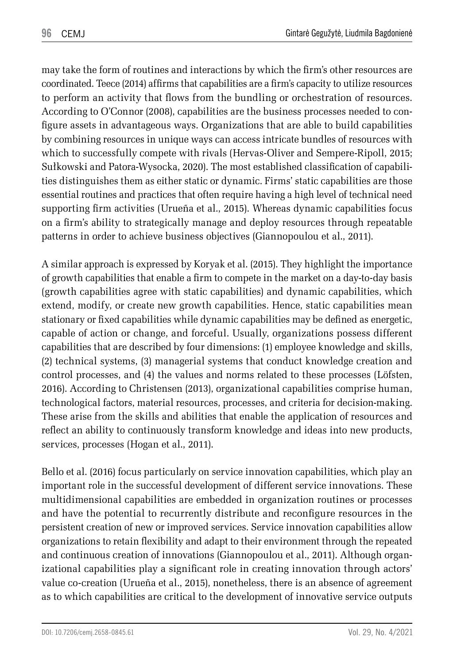may take the form of routines and interactions by which the firm's other resources are coordinated. Teece (2014) affirms that capabilities are a firm's capacity to utilize resources to perform an activity that flows from the bundling or orchestration of resources. According to O'Connor (2008), capabilities are the business processes needed to configure assets in advantageous ways. Organizations that are able to build capabilities by combining resources in unique ways can access intricate bundles of resources with which to successfully compete with rivals (Hervas-Oliver and Sempere-Ripoll, 2015; Sułkowski and Patora-Wysocka, 2020). The most established classification of capabilities distinguishes them as either static or dynamic. Firms' static capabilities are those essential routines and practices that often require having a high level of technical need supporting firm activities (Urueña et al., 2015). Whereas dynamic capabilities focus on a firm's ability to strategically manage and deploy resources through repeatable patterns in order to achieve business objectives (Giannopoulou et al., 2011).

A similar approach is expressed by Koryak et al. (2015). They highlight the importance of growth capabilities that enable a firm to compete in the market on a day-to-day basis (growth capabilities agree with static capabilities) and dynamic capabilities, which extend, modify, or create new growth capabilities. Hence, static capabilities mean stationary or fixed capabilities while dynamic capabilities may be defined as energetic, capable of action or change, and forceful. Usually, organizations possess different capabilities that are described by four dimensions: (1) employee knowledge and skills, (2) technical systems, (3) managerial systems that conduct knowledge creation and control processes, and (4) the values and norms related to these processes (Löfsten, 2016). According to Christensen (2013), organizational capabilities comprise human, technological factors, material resources, processes, and criteria for decision-making. These arise from the skills and abilities that enable the application of resources and reflect an ability to continuously transform knowledge and ideas into new products, services, processes (Hogan et al., 2011).

Bello et al. (2016) focus particularly on service innovation capabilities, which play an important role in the successful development of different service innovations. These multidimensional capabilities are embedded in organization routines or processes and have the potential to recurrently distribute and reconfigure resources in the persistent creation of new or improved services. Service innovation capabilities allow organizations to retain flexibility and adapt to their environment through the repeated and continuous creation of innovations (Giannopoulou et al., 2011). Although organizational capabilities play a significant role in creating innovation through actors' value co-creation (Urueña et al., 2015), nonetheless, there is an absence of agreement as to which capabilities are critical to the development of innovative service outputs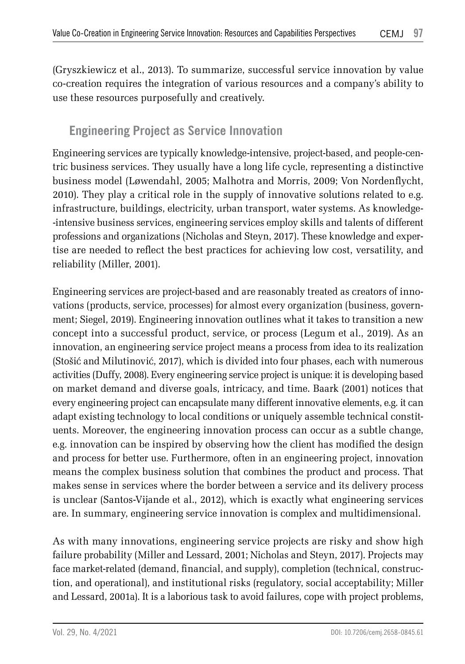(Gryszkiewicz et al., 2013). To summarize, successful service innovation by value co-creation requires the integration of various resources and a company's ability to use these resources purposefully and creatively.

### **Engineering Project as Service Innovation**

Engineering services are typically knowledge-intensive, project-based, and people-centric business services. They usually have a long life cycle, representing a distinctive business model (Løwendahl, 2005; Malhotra and Morris, 2009; Von Nordenflycht, 2010). They play a critical role in the supply of innovative solutions related to e.g. infrastructure, buildings, electricity, urban transport, water systems. As knowledge- -intensive business services, engineering services employ skills and talents of different professions and organizations (Nicholas and Steyn, 2017). These knowledge and expertise are needed to reflect the best practices for achieving low cost, versatility, and reliability (Miller, 2001).

Engineering services are project-based and are reasonably treated as creators of innovations (products, service, processes) for almost every organization (business, government; Siegel, 2019). Engineering innovation outlines what it takes to transition a new concept into a successful product, service, or process (Legum et al., 2019). As an innovation, an engineering service project means a process from idea to its realization (Stošić and Milutinović, 2017), which is divided into four phases, each with numerous activities (Duffy, 2008). Every engineering service project is unique: it is developing based on market demand and diverse goals, intricacy, and time. Baark (2001) notices that every engineering project can encapsulate many different innovative elements, e.g. it can adapt existing technology to local conditions or uniquely assemble technical constituents. Moreover, the engineering innovation process can occur as a subtle change, e.g. innovation can be inspired by observing how the client has modified the design and process for better use. Furthermore, often in an engineering project, innovation means the complex business solution that combines the product and process. That makes sense in services where the border between a service and its delivery process is unclear (Santos-Vijande et al., 2012), which is exactly what engineering services are. In summary, engineering service innovation is complex and multidimensional.

As with many innovations, engineering service projects are risky and show high failure probability (Miller and Lessard, 2001; Nicholas and Steyn, 2017). Projects may face market-related (demand, financial, and supply), completion (technical, construction, and operational), and institutional risks (regulatory, social acceptability; Miller and Lessard, 2001a). It is a laborious task to avoid failures, cope with project problems,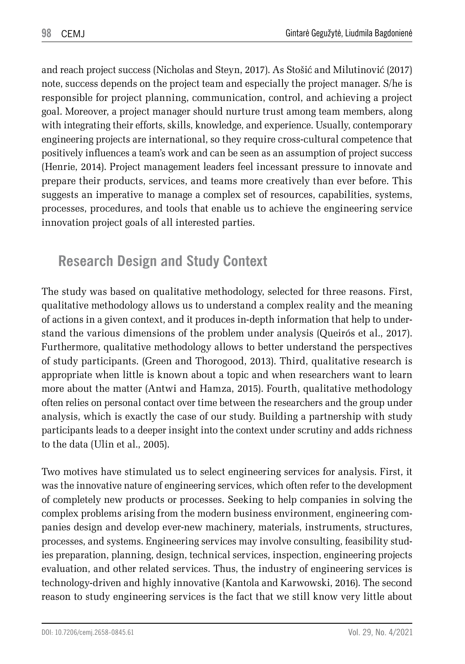and reach project success (Nicholas and Steyn, 2017). As Stošić and Milutinović (2017) note, success depends on the project team and especially the project manager. S/he is responsible for project planning, communication, control, and achieving a project goal. Moreover, a project manager should nurture trust among team members, along with integrating their efforts, skills, knowledge, and experience. Usually, contemporary engineering projects are international, so they require cross-cultural competence that positively influences a team's work and can be seen as an assumption of project success (Henrie, 2014). Project management leaders feel incessant pressure to innovate and prepare their products, services, and teams more creatively than ever before. This suggests an imperative to manage a complex set of resources, capabilities, systems, processes, procedures, and tools that enable us to achieve the engineering service innovation project goals of all interested parties.

# **Research Design and Study Context**

The study was based on qualitative methodology, selected for three reasons. First, qualitative methodology allows us to understand a complex reality and the meaning of actions in a given context, and it produces in-depth information that help to understand the various dimensions of the problem under analysis (Queirós et al., 2017). Furthermore, qualitative methodology allows to better understand the perspectives of study participants. (Green and Thorogood, 2013). Third, qualitative research is appropriate when little is known about a topic and when researchers want to learn more about the matter (Antwi and Hamza, 2015). Fourth, qualitative methodology often relies on personal contact over time between the researchers and the group under analysis, which is exactly the case of our study. Building a partnership with study participants leads to a deeper insight into the context under scrutiny and adds richness to the data (Ulin et al., 2005).

Two motives have stimulated us to select engineering services for analysis. First, it was the innovative nature of engineering services, which often refer to the development of completely new products or processes. Seeking to help companies in solving the complex problems arising from the modern business environment, engineering companies design and develop ever-new machinery, materials, instruments, structures, processes, and systems. Engineering services may involve consulting, feasibility studies preparation, planning, design, technical services, inspection, engineering projects evaluation, and other related services. Thus, the industry of engineering services is technology-driven and highly innovative (Kantola and Karwowski, 2016). The second reason to study engineering services is the fact that we still know very little about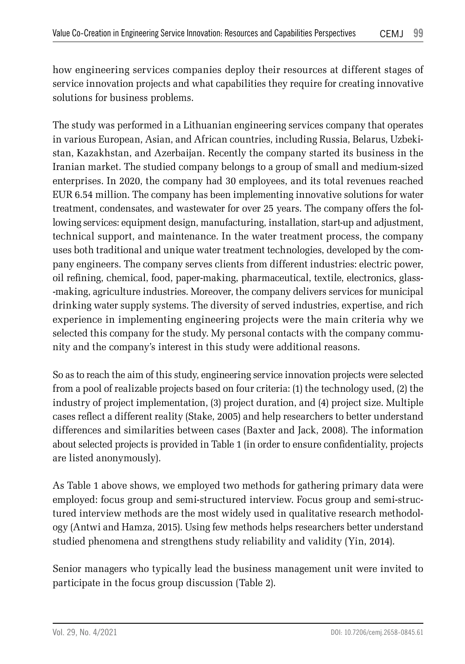how engineering services companies deploy their resources at different stages of service innovation projects and what capabilities they require for creating innovative solutions for business problems.

The study was performed in a Lithuanian engineering services company that operates in various European, Asian, and African countries, including Russia, Belarus, Uzbekistan, Kazakhstan, and Azerbaijan. Recently the company started its business in the Iranian market. The studied company belongs to a group of small and medium-sized enterprises. In 2020, the company had 30 employees, and its total revenues reached EUR 6.54 million. The company has been implementing innovative solutions for water treatment, condensates, and wastewater for over 25 years. The company offers the following services: equipment design, manufacturing, installation, start-up and adjustment, technical support, and maintenance. In the water treatment process, the company uses both traditional and unique water treatment technologies, developed by the company engineers. The company serves clients from different industries: electric power, oil refining, chemical, food, paper-making, pharmaceutical, textile, electronics, glass- -making, agriculture industries. Moreover, the company delivers services for municipal drinking water supply systems. The diversity of served industries, expertise, and rich experience in implementing engineering projects were the main criteria why we selected this company for the study. My personal contacts with the company community and the company's interest in this study were additional reasons.

So as to reach the aim of this study, engineering service innovation projects were selected from a pool of realizable projects based on four criteria: (1) the technology used, (2) the industry of project implementation, (3) project duration, and (4) project size. Multiple cases reflect a different reality (Stake, 2005) and help researchers to better understand differences and similarities between cases (Baxter and Jack, 2008). The information about selected projects is provided in Table 1 (in order to ensure confidentiality, projects are listed anonymously).

As Table 1 above shows, we employed two methods for gathering primary data were employed: focus group and semi-structured interview. Focus group and semi-structured interview methods are the most widely used in qualitative research methodology (Antwi and Hamza, 2015). Using few methods helps researchers better understand studied phenomena and strengthens study reliability and validity (Yin, 2014).

Senior managers who typically lead the business management unit were invited to participate in the focus group discussion (Table 2).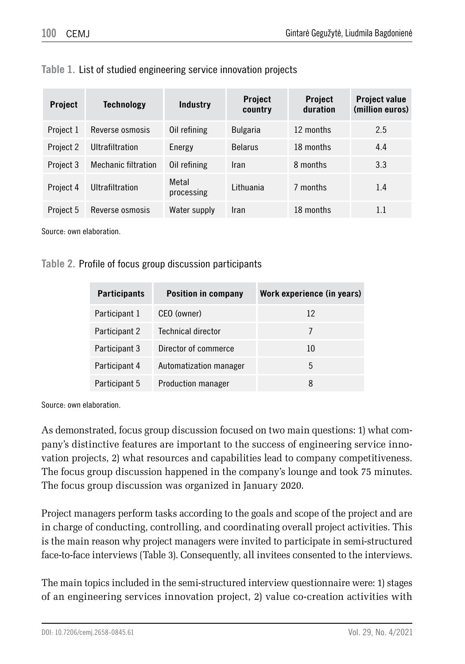| <b>Project</b> | <b>Technology</b>          | Industry            | <b>Project</b><br>country | <b>Project</b><br>duration | <b>Project value</b><br>(million euros) |
|----------------|----------------------------|---------------------|---------------------------|----------------------------|-----------------------------------------|
| Project 1      | Reverse osmosis            | Oil refining        | <b>Bulgaria</b>           | 12 months                  | 2.5                                     |
| Project 2      | Ultrafiltration            | Energy              | <b>Belarus</b>            | 18 months                  | 4.4                                     |
| Project 3      | <b>Mechanic filtration</b> | Oil refining        | Iran                      | 8 months                   | 3.3                                     |
| Project 4      | Ultrafiltration            | Metal<br>processing | <b>Lithuania</b>          | 7 months                   | 1.4                                     |
| Project 5      | Reverse osmosis            | Water supply        | Iran                      | 18 months                  | 1.1                                     |

**Table 1.** List of studied engineering service innovation projects

Source: own elaboration.

#### **Table 2.** Profile of focus group discussion participants

| <b>Participants</b> | <b>Position in company</b> | Work experience (in years) |
|---------------------|----------------------------|----------------------------|
| Participant 1       | CEO (owner)                | 12                         |
| Participant 2       | Technical director         |                            |
| Participant 3       | Director of commerce       | 10                         |
| Participant 4       | Automatization manager     | 5                          |
| Participant 5       | <b>Production manager</b>  | 8                          |

Source: own elaboration.

As demonstrated, focus group discussion focused on two main questions: 1) what company's distinctive features are important to the success of engineering service innovation projects, 2) what resources and capabilities lead to company competitiveness. The focus group discussion happened in the company's lounge and took 75 minutes. The focus group discussion was organized in January 2020.

Project managers perform tasks according to the goals and scope of the project and are in charge of conducting, controlling, and coordinating overall project activities. This is the main reason why project managers were invited to participate in semi-structured face-to-face interviews (Table 3). Consequently, all invitees consented to the interviews.

The main topics included in the semi-structured interview questionnaire were: 1) stages of an engineering services innovation project, 2) value co-creation activities with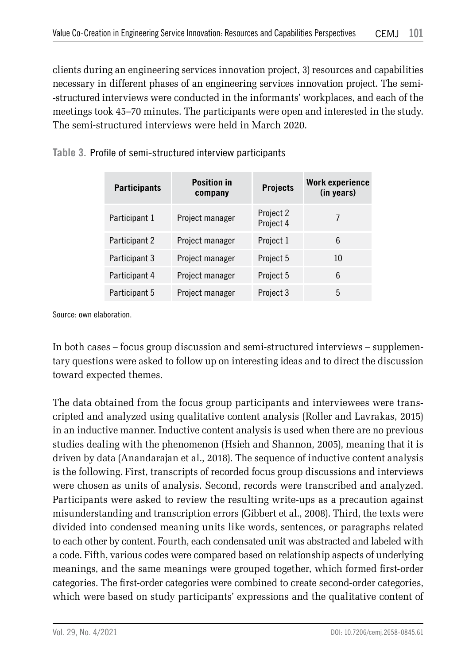clients during an engineering services innovation project, 3) resources and capabilities necessary in different phases of an engineering services innovation project. The semi- -structured interviews were conducted in the informants' workplaces, and each of the meetings took 45–70 minutes. The participants were open and interested in the study. The semi-structured interviews were held in March 2020.

**Table 3.** Profile of semi-structured interview participants

| <b>Participants</b> | <b>Position in</b><br>company | <b>Projects</b>        | Work experience<br>(in years) |
|---------------------|-------------------------------|------------------------|-------------------------------|
| Participant 1       | Project manager               | Project 2<br>Project 4 | 7                             |
| Participant 2       | Project manager               | Project 1              | 6                             |
| Participant 3       | Project manager               | Project 5              | 10                            |
| Participant 4       | Project manager               | Project 5              | 6                             |
| Participant 5       | Project manager               | Project 3              | 5                             |

Source: own elaboration.

In both cases – focus group discussion and semi-structured interviews – supplementary questions were asked to follow up on interesting ideas and to direct the discussion toward expected themes.

The data obtained from the focus group participants and interviewees were transcripted and analyzed using qualitative content analysis (Roller and Lavrakas, 2015) in an inductive manner. Inductive content analysis is used when there are no previous studies dealing with the phenomenon (Hsieh and Shannon, 2005), meaning that it is driven by data (Anandarajan et al., 2018). The sequence of inductive content analysis is the following. First, transcripts of recorded focus group discussions and interviews were chosen as units of analysis. Second, records were transcribed and analyzed. Participants were asked to review the resulting write-ups as a precaution against misunderstanding and transcription errors (Gibbert et al., 2008). Third, the texts were divided into condensed meaning units like words, sentences, or paragraphs related to each other by content. Fourth, each condensated unit was abstracted and labeled with a code. Fifth, various codes were compared based on relationship aspects of underlying meanings, and the same meanings were grouped together, which formed first-order categories. The first-order categories were combined to create second-order categories, which were based on study participants' expressions and the qualitative content of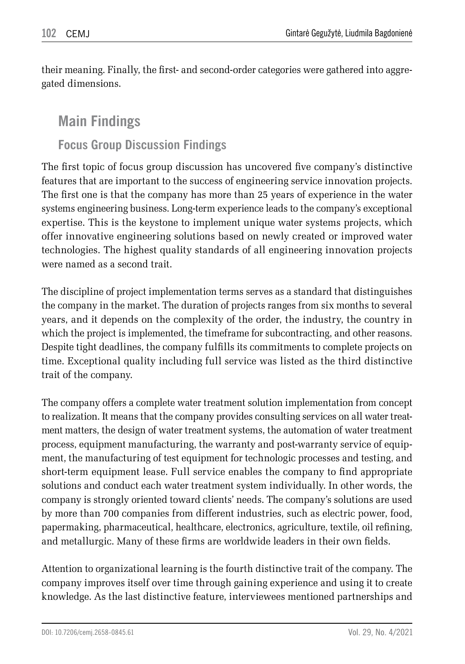their meaning. Finally, the first- and second-order categories were gathered into aggregated dimensions.

## **Main Findings**

### **Focus Group Discussion Findings**

The first topic of focus group discussion has uncovered five company's distinctive features that are important to the success of engineering service innovation projects. The first one is that the company has more than 25 years of experience in the water systems engineering business. Long-term experience leads to the company's exceptional expertise. This is the keystone to implement unique water systems projects, which offer innovative engineering solutions based on newly created or improved water technologies. The highest quality standards of all engineering innovation projects were named as a second trait.

The discipline of project implementation terms serves as a standard that distinguishes the company in the market. The duration of projects ranges from six months to several years, and it depends on the complexity of the order, the industry, the country in which the project is implemented, the timeframe for subcontracting, and other reasons. Despite tight deadlines, the company fulfills its commitments to complete projects on time. Exceptional quality including full service was listed as the third distinctive trait of the company.

The company offers a complete water treatment solution implementation from concept to realization. It means that the company provides consulting services on all water treatment matters, the design of water treatment systems, the automation of water treatment process, equipment manufacturing, the warranty and post-warranty service of equipment, the manufacturing of test equipment for technologic processes and testing, and short-term equipment lease. Full service enables the company to find appropriate solutions and conduct each water treatment system individually. In other words, the company is strongly oriented toward clients' needs. The company's solutions are used by more than 700 companies from different industries, such as electric power, food, papermaking, pharmaceutical, healthcare, electronics, agriculture, textile, oil refining, and metallurgic. Many of these firms are worldwide leaders in their own fields.

Attention to organizational learning is the fourth distinctive trait of the company. The company improves itself over time through gaining experience and using it to create knowledge. As the last distinctive feature, interviewees mentioned partnerships and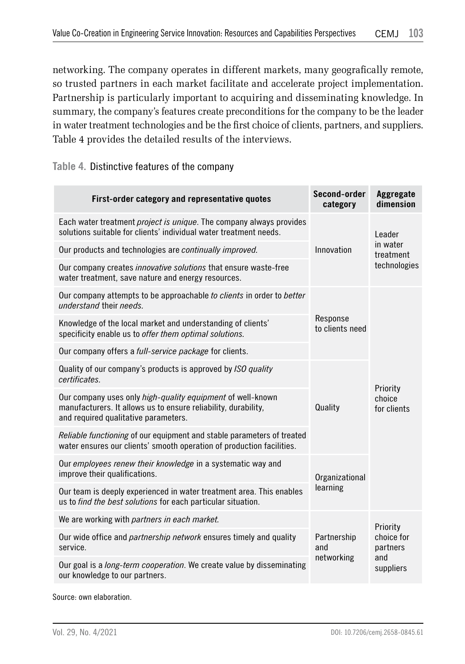networking. The company operates in different markets, many geografically remote, so trusted partners in each market facilitate and accelerate project implementation. Partnership is particularly important to acquiring and disseminating knowledge. In summary, the company's features create preconditions for the company to be the leader in water treatment technologies and be the first choice of clients, partners, and suppliers. Table 4 provides the detailed results of the interviews.

#### **Table 4.** Distinctive features of the company

| First-order category and representative quotes                                                                                                                       | Second-order<br>category       | Aggregate<br>dimension                |  |
|----------------------------------------------------------------------------------------------------------------------------------------------------------------------|--------------------------------|---------------------------------------|--|
| Each water treatment <i>project is unique</i> . The company always provides<br>solutions suitable for clients' individual water treatment needs.                     |                                |                                       |  |
| Our products and technologies are continually improved.                                                                                                              | Innovation                     | in water<br>treatment<br>technologies |  |
| Our company creates innovative solutions that ensure waste-free<br>water treatment, save nature and energy resources.                                                |                                |                                       |  |
| Our company attempts to be approachable to clients in order to better<br>understand their needs.                                                                     |                                |                                       |  |
| Knowledge of the local market and understanding of clients'<br>specificity enable us to offer them optimal solutions.                                                | Response<br>to clients need    |                                       |  |
| Our company offers a full-service package for clients.                                                                                                               |                                |                                       |  |
| Quality of our company's products is approved by ISO quality<br>certificates.                                                                                        |                                | Priority                              |  |
| Our company uses only high-quality equipment of well-known<br>manufacturers. It allows us to ensure reliability, durability,<br>and required qualitative parameters. | Quality                        |                                       |  |
| Reliable functioning of our equipment and stable parameters of treated<br>water ensures our clients' smooth operation of production facilities.                      |                                |                                       |  |
| Our employees renew their knowledge in a systematic way and<br>improve their qualifications.                                                                         | Organizational                 |                                       |  |
| Our team is deeply experienced in water treatment area. This enables<br>us to find the best solutions for each particular situation.                                 | learning                       |                                       |  |
| We are working with partners in each market.                                                                                                                         |                                | Priority                              |  |
| Our wide office and <i>partnership network</i> ensures timely and quality<br>service.                                                                                | Partnership<br>and             | choice for<br>partners                |  |
| Our goal is a long-term cooperation. We create value by disseminating<br>our knowledge to our partners.                                                              | networking<br>and<br>suppliers |                                       |  |

Source: own elaboration.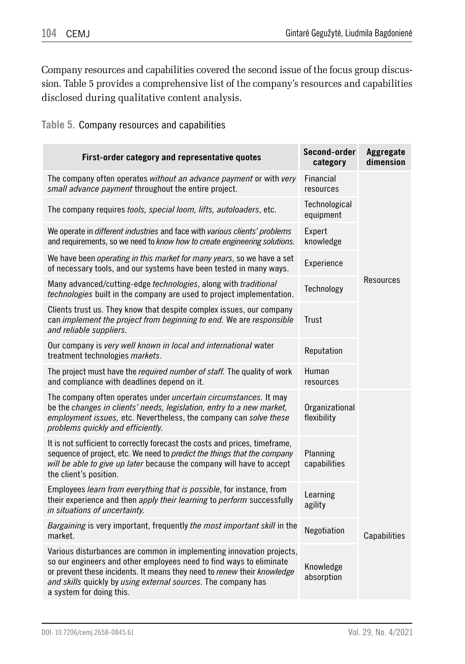Company resources and capabilities covered the second issue of the focus group discussion. Table 5 provides a comprehensive list of the company's resources and capabilities disclosed during qualitative content analysis.

**Table 5.** Company resources and capabilities

| First-order category and representative quotes                                                                                                                                                                                                                                                                      | Second-order<br>category      | Aggregate<br>dimension |
|---------------------------------------------------------------------------------------------------------------------------------------------------------------------------------------------------------------------------------------------------------------------------------------------------------------------|-------------------------------|------------------------|
| The company often operates without an advance payment or with very<br>small advance payment throughout the entire project.                                                                                                                                                                                          | Financial<br>resources        |                        |
| The company requires tools, special loom, lifts, autoloaders, etc.                                                                                                                                                                                                                                                  | Technological<br>equipment    |                        |
| We operate in different industries and face with various clients' problems<br>and requirements, so we need to know how to create engineering solutions.                                                                                                                                                             | Expert<br>knowledge           |                        |
| We have been <i>operating in this market for many years</i> , so we have a set<br>of necessary tools, and our systems have been tested in many ways.                                                                                                                                                                | Experience                    |                        |
| Many advanced/cutting-edge technologies, along with traditional<br>technologies built in the company are used to project implementation.                                                                                                                                                                            | Technology                    | Resources              |
| Clients trust us. They know that despite complex issues, our company<br>can implement the project from beginning to end. We are responsible<br>and reliable suppliers.                                                                                                                                              | <b>Trust</b>                  |                        |
| Our company is very well known in local and international water<br>treatment technologies markets.                                                                                                                                                                                                                  | Reputation                    |                        |
| The project must have the required number of staff. The quality of work<br>and compliance with deadlines depend on it.                                                                                                                                                                                              | Human<br>resources            |                        |
| The company often operates under <i>uncertain circumstances</i> . It may<br>be the changes in clients' needs, legislation, entry to a new market,<br>employment issues, etc. Nevertheless, the company can solve these<br>problems quickly and efficiently.                                                         | Organizational<br>flexibility |                        |
| It is not sufficient to correctly forecast the costs and prices, timeframe,<br>sequence of project, etc. We need to predict the things that the company<br>will be able to give up later because the company will have to accept<br>the client's position.                                                          | Planning<br>capabilities      |                        |
| Employees learn from everything that is possible, for instance, from<br>their experience and then apply their learning to perform successfully<br>in situations of uncertainty.                                                                                                                                     | Learning<br>agility           |                        |
| Bargaining is very important, frequently the most important skill in the<br>market.                                                                                                                                                                                                                                 | Negotiation                   | Capabilities           |
| Various disturbances are common in implementing innovation projects,<br>so our engineers and other employees need to find ways to eliminate<br>or prevent these incidents. It means they need to renew their knowledge<br>and skills quickly by using external sources. The company has<br>a system for doing this. | Knowledge<br>absorption       |                        |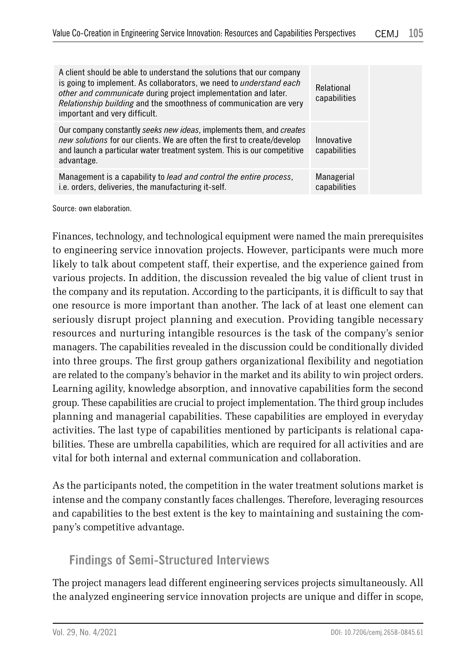| A client should be able to understand the solutions that our company<br>is going to implement. As collaborators, we need to <i>understand each</i><br>other and communicate during project implementation and later.<br>Relationship building and the smoothness of communication are very<br>important and very difficult. | Relational<br>capabilities |
|-----------------------------------------------------------------------------------------------------------------------------------------------------------------------------------------------------------------------------------------------------------------------------------------------------------------------------|----------------------------|
| Our company constantly seeks new ideas, implements them, and creates<br>new solutions for our clients. We are often the first to create/develop<br>and launch a particular water treatment system. This is our competitive<br>advantage.                                                                                    | Innovative<br>capabilities |
| Management is a capability to <i>lead and control the entire process</i> .<br>i.e. orders, deliveries, the manufacturing it-self.                                                                                                                                                                                           | Managerial<br>capabilities |

Source: own elaboration.

Finances, technology, and technological equipment were named the main prerequisites to engineering service innovation projects. However, participants were much more likely to talk about competent staff, their expertise, and the experience gained from various projects. In addition, the discussion revealed the big value of client trust in the company and its reputation. According to the participants, it is difficult to say that one resource is more important than another. The lack of at least one element can seriously disrupt project planning and execution. Providing tangible necessary resources and nurturing intangible resources is the task of the company's senior managers. The capabilities revealed in the discussion could be conditionally divided into three groups. The first group gathers organizational flexibility and negotiation are related to the company's behavior in the market and its ability to win project orders. Learning agility, knowledge absorption, and innovative capabilities form the second group. These capabilities are crucial to project implementation. The third group includes planning and managerial capabilities. These capabilities are employed in everyday activities. The last type of capabilities mentioned by participants is relational capabilities. These are umbrella capabilities, which are required for all activities and are vital for both internal and external communication and collaboration.

As the participants noted, the competition in the water treatment solutions market is intense and the company constantly faces challenges. Therefore, leveraging resources and capabilities to the best extent is the key to maintaining and sustaining the company's competitive advantage.

### **Findings of Semi-Structured Interviews**

The project managers lead different engineering services projects simultaneously. All the analyzed engineering service innovation projects are unique and differ in scope,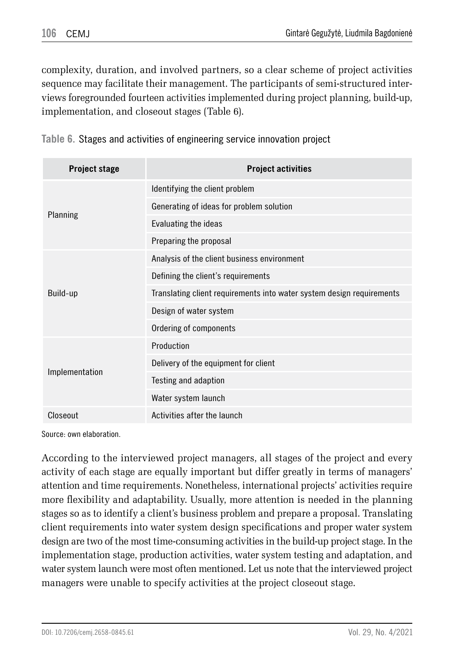complexity, duration, and involved partners, so a clear scheme of project activities sequence may facilitate their management. The participants of semi-structured interviews foregrounded fourteen activities implemented during project planning, build-up, implementation, and closeout stages (Table 6).

**Table 6.** Stages and activities of engineering service innovation project

| <b>Project stage</b> | <b>Project activities</b>                                             |  |  |  |  |
|----------------------|-----------------------------------------------------------------------|--|--|--|--|
|                      | Identifying the client problem                                        |  |  |  |  |
|                      | Generating of ideas for problem solution                              |  |  |  |  |
| Planning             | Evaluating the ideas                                                  |  |  |  |  |
|                      | Preparing the proposal                                                |  |  |  |  |
|                      | Analysis of the client business environment                           |  |  |  |  |
|                      | Defining the client's requirements                                    |  |  |  |  |
| Build-up             | Translating client requirements into water system design requirements |  |  |  |  |
|                      | Design of water system                                                |  |  |  |  |
|                      | Ordering of components                                                |  |  |  |  |
|                      | Production                                                            |  |  |  |  |
|                      | Delivery of the equipment for client                                  |  |  |  |  |
| Implementation       | Testing and adaption                                                  |  |  |  |  |
|                      | Water system launch                                                   |  |  |  |  |
| Closeout             | Activities after the launch                                           |  |  |  |  |

Source: own elaboration.

According to the interviewed project managers, all stages of the project and every activity of each stage are equally important but differ greatly in terms of managers' attention and time requirements. Nonetheless, international projects' activities require more flexibility and adaptability. Usually, more attention is needed in the planning stages so as to identify a client's business problem and prepare a proposal. Translating client requirements into water system design specifications and proper water system design are two of the most time-consuming activities in the build-up project stage. In the implementation stage, production activities, water system testing and adaptation, and water system launch were most often mentioned. Let us note that the interviewed project managers were unable to specify activities at the project closeout stage.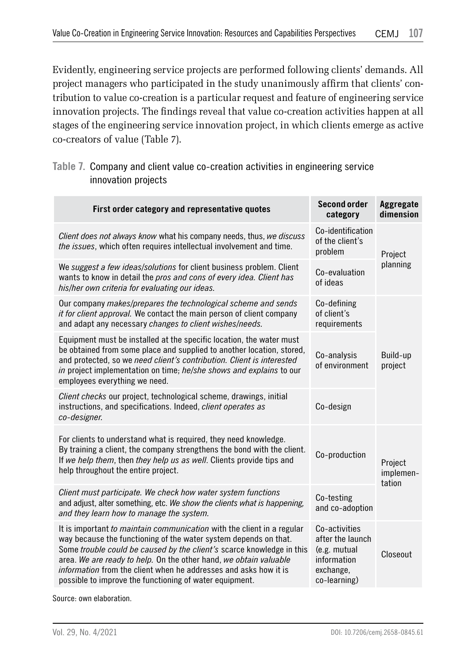Evidently, engineering service projects are performed following clients' demands. All project managers who participated in the study unanimously affirm that clients' contribution to value co-creation is a particular request and feature of engineering service innovation projects. The findings reveal that value co-creation activities happen at all stages of the engineering service innovation project, in which clients emerge as active co-creators of value (Table 7).

### **Table 7.** Company and client value co-creation activities in engineering service innovation projects

| First order category and representative quotes                                                                                                                                                                                                                                                                                                                                                                                 | <b>Second order</b><br>category                                                               | Aggregate<br>dimension         |  |
|--------------------------------------------------------------------------------------------------------------------------------------------------------------------------------------------------------------------------------------------------------------------------------------------------------------------------------------------------------------------------------------------------------------------------------|-----------------------------------------------------------------------------------------------|--------------------------------|--|
| Client does not always know what his company needs, thus, we discuss<br>the issues, which often requires intellectual involvement and time.                                                                                                                                                                                                                                                                                    | Co-identification<br>of the client's<br>problem<br>Project                                    |                                |  |
| We suggest a few ideas/solutions for client business problem. Client<br>wants to know in detail the pros and cons of every idea. Client has<br>his/her own criteria for evaluating our ideas.                                                                                                                                                                                                                                  | Co-evaluation<br>of ideas                                                                     | planning                       |  |
| Our company makes/prepares the technological scheme and sends<br><i>it for client approval.</i> We contact the main person of client company<br>and adapt any necessary changes to client wishes/needs.                                                                                                                                                                                                                        | Co-defining<br>of client's<br>requirements                                                    |                                |  |
| Equipment must be installed at the specific location, the water must<br>be obtained from some place and supplied to another location, stored,<br>and protected, so we need client's contribution. Client is interested<br>in project implementation on time; he/she shows and explains to our<br>employees everything we need.                                                                                                 | Co-analysis<br>of environment                                                                 | Build-up<br>project            |  |
| Client checks our project, technological scheme, drawings, initial<br>instructions, and specifications. Indeed, client operates as<br>co-designer.                                                                                                                                                                                                                                                                             | Co-design                                                                                     |                                |  |
| For clients to understand what is required, they need knowledge.<br>By training a client, the company strengthens the bond with the client.<br>If we help them, then they help us as well. Clients provide tips and<br>help throughout the entire project.                                                                                                                                                                     | Co-production                                                                                 | Project<br>implemen-<br>tation |  |
| Client must participate. We check how water system functions<br>and adjust, alter something, etc. We show the clients what is happening,<br>and they learn how to manage the system.                                                                                                                                                                                                                                           | Co-testing<br>and co-adoption                                                                 |                                |  |
| It is important to maintain communication with the client in a regular<br>way because the functioning of the water system depends on that.<br>Some trouble could be caused by the client's scarce knowledge in this<br>area. We are ready to help. On the other hand, we obtain valuable<br><i>information</i> from the client when he addresses and asks how it is<br>possible to improve the functioning of water equipment. | Co-activities<br>after the launch<br>(e.g. mutual<br>information<br>exchange,<br>co-learning) | Closeout                       |  |

Source: own elaboration.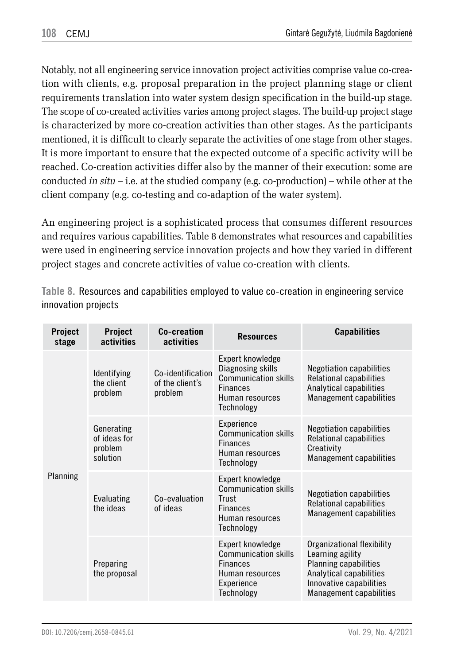Notably, not all engineering service innovation project activities comprise value co-creation with clients, e.g. proposal preparation in the project planning stage or client requirements translation into water system design specification in the build-up stage. The scope of co-created activities varies among project stages. The build-up project stage is characterized by more co-creation activities than other stages. As the participants mentioned, it is difficult to clearly separate the activities of one stage from other stages. It is more important to ensure that the expected outcome of a specific activity will be reached. Co-creation activities differ also by the manner of their execution: some are conducted *in situ* – i.e. at the studied company (e.g. co-production) – while other at the client company (e.g. co-testing and co-adaption of the water system).

An engineering project is a sophisticated process that consumes different resources and requires various capabilities. Table 8 demonstrates what resources and capabilities were used in engineering service innovation projects and how they varied in different project stages and concrete activities of value co-creation with clients.

**Table 8.** Resources and capabilities employed to value co-creation in engineering service innovation projects

| Project<br>stage | Project<br>activities                             | Co-creation<br>activities                       | <b>Resources</b>                                                                                                  | <b>Capabilities</b>                                                                                                                                             |
|------------------|---------------------------------------------------|-------------------------------------------------|-------------------------------------------------------------------------------------------------------------------|-----------------------------------------------------------------------------------------------------------------------------------------------------------------|
| Planning         | Identifying<br>the client<br>problem              | Co-identification<br>of the client's<br>problem | Expert knowledge<br>Diagnosing skills<br>Communication skills<br><b>Finances</b><br>Human resources<br>Technology | <b>Negotiation capabilities</b><br>Relational capabilities<br>Analytical capabilities<br><b>Management capabilities</b>                                         |
|                  | Generating<br>of ideas for<br>problem<br>solution |                                                 | Experience<br>Communication skills<br><b>Finances</b><br>Human resources<br>Technology                            | <b>Negotiation capabilities</b><br>Relational capabilities<br>Creativity<br>Management capabilities                                                             |
|                  | Evaluating<br>the ideas                           | Co-evaluation<br>of ideas                       | Expert knowledge<br>Communication skills<br>Trust<br><b>Finances</b><br>Human resources<br>Technology             | <b>Negotiation capabilities</b><br>Relational capabilities<br>Management capabilities                                                                           |
|                  | Preparing<br>the proposal                         |                                                 | Expert knowledge<br><b>Communication skills</b><br><b>Finances</b><br>Human resources<br>Experience<br>Technology | Organizational flexibility<br>Learning agility<br><b>Planning capabilities</b><br>Analytical capabilities<br>Innovative capabilities<br>Management capabilities |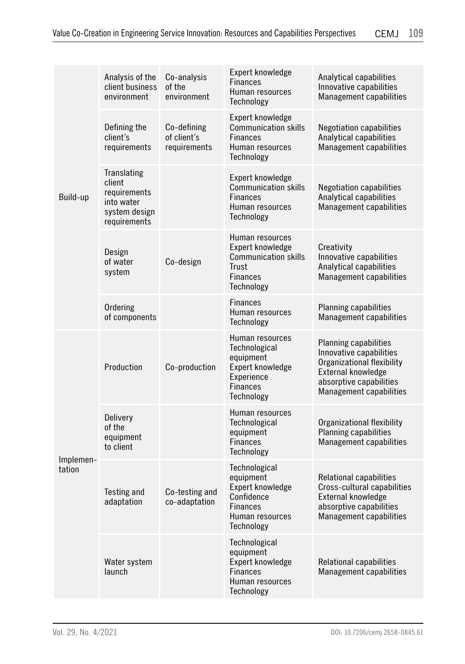| Build-up            | Analysis of the<br>client business<br>environment                                    | Co-analysis<br>of the<br>environment       | Expert knowledge<br><b>Finances</b><br>Human resources<br>Technology                                             | Analytical capabilities<br>Innovative capabilities<br>Management capabilities                                                                                     |
|---------------------|--------------------------------------------------------------------------------------|--------------------------------------------|------------------------------------------------------------------------------------------------------------------|-------------------------------------------------------------------------------------------------------------------------------------------------------------------|
|                     | Defining the<br>client's<br>requirements                                             | Co-defining<br>of client's<br>requirements | Expert knowledge<br><b>Communication skills</b><br><b>Finances</b><br>Human resources<br>Technology              | <b>Negotiation capabilities</b><br>Analytical capabilities<br>Management capabilities                                                                             |
|                     | Translating<br>client<br>requirements<br>into water<br>system design<br>requirements |                                            | Expert knowledge<br><b>Communication skills</b><br><b>Finances</b><br>Human resources<br>Technology              | <b>Negotiation capabilities</b><br>Analytical capabilities<br>Management capabilities                                                                             |
|                     | Design<br>of water<br>system                                                         | Co-design                                  | Human resources<br>Expert knowledge<br><b>Communication skills</b><br>Trust<br><b>Finances</b><br>Technology     | Creativity<br>Innovative capabilities<br>Analytical capabilities<br>Management capabilities                                                                       |
|                     | Ordering<br>of components                                                            |                                            | <b>Finances</b><br>Human resources<br>Technology                                                                 | <b>Planning capabilities</b><br>Management capabilities                                                                                                           |
| Implemen-<br>tation | Production                                                                           | Co-production                              | Human resources<br>Technological<br>equipment<br>Expert knowledge<br>Experience<br><b>Finances</b><br>Technology | <b>Planning capabilities</b><br>Innovative capabilities<br>Organizational flexibility<br>External knowledge<br>absorptive capabilities<br>Management capabilities |
|                     | Delivery<br>of the<br>equipment<br>to client                                         |                                            | Human resources<br>Technological<br>equipment<br><b>Finances</b><br>Technology                                   | Organizational flexibility<br><b>Planning capabilities</b><br>Management capabilities                                                                             |
|                     | Testing and<br>adaptation                                                            | Co-testing and<br>co-adaptation            | Technological<br>equipment<br>Expert knowledge<br>Confidence<br><b>Finances</b><br>Human resources<br>Technology | <b>Relational capabilities</b><br>Cross-cultural capabilities<br>External knowledge<br>absorptive capabilities<br>Management capabilities                         |
|                     | Water system<br>launch                                                               |                                            | Technological<br>equipment<br>Expert knowledge<br><b>Finances</b><br>Human resources<br>Technology               | Relational capabilities<br>Management capabilities                                                                                                                |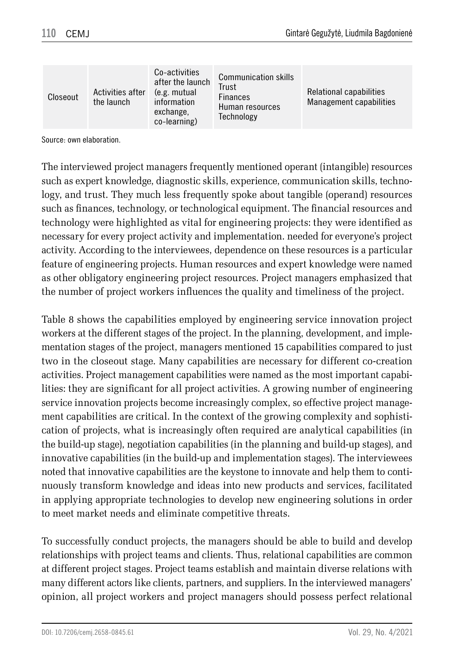| Closeout | Activities after<br>the launch | Co-activities<br>after the launch<br>(e.g. mutual<br>information<br>exchange,<br>co-learning) | <b>Communication skills</b><br>Trust<br><b>Finances</b><br>Human resources<br>Technology | Relational capabilities<br>Management capabilities |
|----------|--------------------------------|-----------------------------------------------------------------------------------------------|------------------------------------------------------------------------------------------|----------------------------------------------------|
|----------|--------------------------------|-----------------------------------------------------------------------------------------------|------------------------------------------------------------------------------------------|----------------------------------------------------|

Source: own elaboration.

The interviewed project managers frequently mentioned operant (intangible) resources such as expert knowledge, diagnostic skills, experience, communication skills, technology, and trust. They much less frequently spoke about tangible (operand) resources such as finances, technology, or technological equipment. The financial resources and technology were highlighted as vital for engineering projects: they were identified as necessary for every project activity and implementation. needed for everyone's project activity. According to the interviewees, dependence on these resources is a particular feature of engineering projects. Human resources and expert knowledge were named as other obligatory engineering project resources. Project managers emphasized that the number of project workers influences the quality and timeliness of the project.

Table 8 shows the capabilities employed by engineering service innovation project workers at the different stages of the project. In the planning, development, and implementation stages of the project, managers mentioned 15 capabilities compared to just two in the closeout stage. Many capabilities are necessary for different co-creation activities. Project management capabilities were named as the most important capabilities: they are significant for all project activities. A growing number of engineering service innovation projects become increasingly complex, so effective project management capabilities are critical. In the context of the growing complexity and sophistication of projects, what is increasingly often required are analytical capabilities (in the build-up stage), negotiation capabilities (in the planning and build-up stages), and innovative capabilities (in the build-up and implementation stages). The interviewees noted that innovative capabilities are the keystone to innovate and help them to continuously transform knowledge and ideas into new products and services, facilitated in applying appropriate technologies to develop new engineering solutions in order to meet market needs and eliminate competitive threats.

To successfully conduct projects, the managers should be able to build and develop relationships with project teams and clients. Thus, relational capabilities are common at different project stages. Project teams establish and maintain diverse relations with many different actors like clients, partners, and suppliers. In the interviewed managers' opinion, all project workers and project managers should possess perfect relational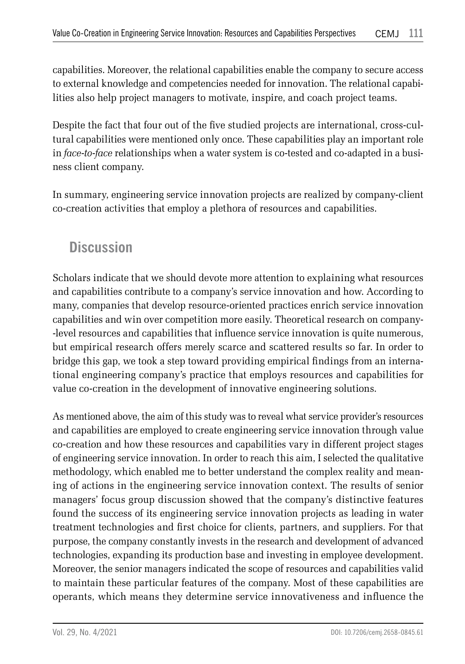capabilities. Moreover, the relational capabilities enable the company to secure access to external knowledge and competencies needed for innovation. The relational capabilities also help project managers to motivate, inspire, and coach project teams.

Despite the fact that four out of the five studied projects are international, cross-cultural capabilities were mentioned only once. These capabilities play an important role in *face-to-face* relationships when a water system is co-tested and co-adapted in a business client company.

In summary, engineering service innovation projects are realized by company-client co-creation activities that employ a plethora of resources and capabilities.

## **Discussion**

Scholars indicate that we should devote more attention to explaining what resources and capabilities contribute to a company's service innovation and how. According to many, companies that develop resource-oriented practices enrich service innovation capabilities and win over competition more easily. Theoretical research on company- -level resources and capabilities that influence service innovation is quite numerous, but empirical research offers merely scarce and scattered results so far. In order to bridge this gap, we took a step toward providing empirical findings from an international engineering company's practice that employs resources and capabilities for value co-creation in the development of innovative engineering solutions.

As mentioned above, the aim of this study was to reveal what service provider's resources and capabilities are employed to create engineering service innovation through value co-creation and how these resources and capabilities vary in different project stages of engineering service innovation. In order to reach this aim, I selected the qualitative methodology, which enabled me to better understand the complex reality and meaning of actions in the engineering service innovation context. The results of senior managers' focus group discussion showed that the company's distinctive features found the success of its engineering service innovation projects as leading in water treatment technologies and first choice for clients, partners, and suppliers. For that purpose, the company constantly invests in the research and development of advanced technologies, expanding its production base and investing in employee development. Moreover, the senior managers indicated the scope of resources and capabilities valid to maintain these particular features of the company. Most of these capabilities are operants, which means they determine service innovativeness and influence the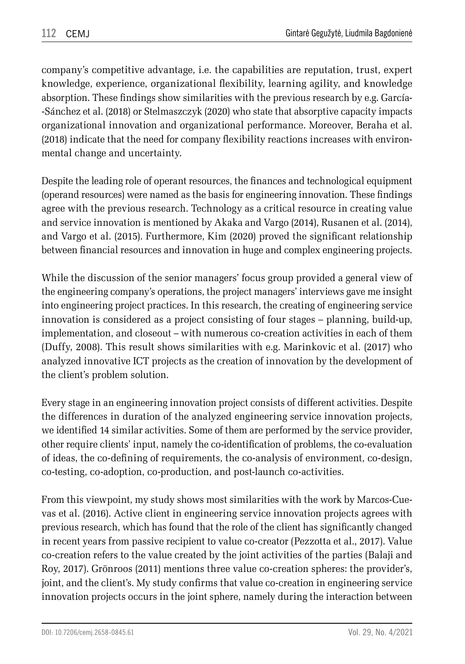company's competitive advantage, i.e. the capabilities are reputation, trust, expert knowledge, experience, organizational flexibility, learning agility, and knowledge absorption. These findings show similarities with the previous research by e.g. García- -Sánchez et al. (2018) or Stelmaszczyk (2020) who state that absorptive capacity impacts organizational innovation and organizational performance. Moreover, Beraha et al. (2018) indicate that the need for company flexibility reactions increases with environmental change and uncertainty.

Despite the leading role of operant resources, the finances and technological equipment (operand resources) were named as the basis for engineering innovation. These findings agree with the previous research. Technology as a critical resource in creating value and service innovation is mentioned by Akaka and Vargo (2014), Rusanen et al. (2014), and Vargo et al. (2015). Furthermore, Kim (2020) proved the significant relationship between financial resources and innovation in huge and complex engineering projects.

While the discussion of the senior managers' focus group provided a general view of the engineering company's operations, the project managers' interviews gave me insight into engineering project practices. In this research, the creating of engineering service innovation is considered as a project consisting of four stages – planning, build-up, implementation, and closeout – with numerous co-creation activities in each of them (Duffy, 2008). This result shows similarities with e.g. Marinkovic et al. (2017) who analyzed innovative ICT projects as the creation of innovation by the development of the client's problem solution.

Every stage in an engineering innovation project consists of different activities. Despite the differences in duration of the analyzed engineering service innovation projects, we identified 14 similar activities. Some of them are performed by the service provider, other require clients' input, namely the co-identification of problems, the co-evaluation of ideas, the co-defining of requirements, the co-analysis of environment, co-design, co-testing, co-adoption, co-production, and post-launch co-activities.

From this viewpoint, my study shows most similarities with the work by Marcos-Cuevas et al. (2016). Active client in engineering service innovation projects agrees with previous research, which has found that the role of the client has significantly changed in recent years from passive recipient to value co-creator (Pezzotta et al., 2017). Value co-creation refers to the value created by the joint activities of the parties (Balaji and Roy, 2017). Grönroos (2011) mentions three value co-creation spheres: the provider's, joint, and the client's. My study confirms that value co-creation in engineering service innovation projects occurs in the joint sphere, namely during the interaction between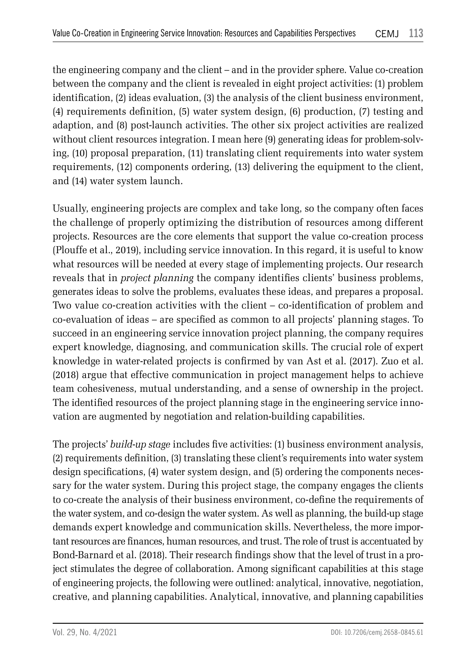the engineering company and the client – and in the provider sphere. Value co-creation between the company and the client is revealed in eight project activities: (1) problem identification, (2) ideas evaluation, (3) the analysis of the client business environment, (4) requirements definition, (5) water system design, (6) production, (7) testing and adaption, and (8) post-launch activities. The other six project activities are realized without client resources integration. I mean here (9) generating ideas for problem-solving, (10) proposal preparation, (11) translating client requirements into water system requirements, (12) components ordering, (13) delivering the equipment to the client, and (14) water system launch.

Usually, engineering projects are complex and take long, so the company often faces the challenge of properly optimizing the distribution of resources among different projects. Resources are the core elements that support the value co-creation process (Plouffe et al., 2019), including service innovation. In this regard, it is useful to know what resources will be needed at every stage of implementing projects. Our research reveals that in *project planning* the company identifies clients' business problems, generates ideas to solve the problems, evaluates these ideas, and prepares a proposal. Two value co-creation activities with the client – co-identification of problem and co-evaluation of ideas – are specified as common to all projects' planning stages. To succeed in an engineering service innovation project planning, the company requires expert knowledge, diagnosing, and communication skills. The crucial role of expert knowledge in water-related projects is confirmed by van Ast et al. (2017). Zuo et al. (2018) argue that effective communication in project management helps to achieve team cohesiveness, mutual understanding, and a sense of ownership in the project. The identified resources of the project planning stage in the engineering service innovation are augmented by negotiation and relation-building capabilities.

The projects' *build-up stage* includes five activities: (1) business environment analysis, (2) requirements definition, (3) translating these client's requirements into water system design specifications, (4) water system design, and (5) ordering the components necessary for the water system. During this project stage, the company engages the clients to co-create the analysis of their business environment, co-define the requirements of the water system, and co-design the water system. As well as planning, the build-up stage demands expert knowledge and communication skills. Nevertheless, the more important resources are finances, human resources, and trust. The role of trust is accentuated by Bond-Barnard et al. (2018). Their research findings show that the level of trust in a project stimulates the degree of collaboration. Among significant capabilities at this stage of engineering projects, the following were outlined: analytical, innovative, negotiation, creative, and planning capabilities. Analytical, innovative, and planning capabilities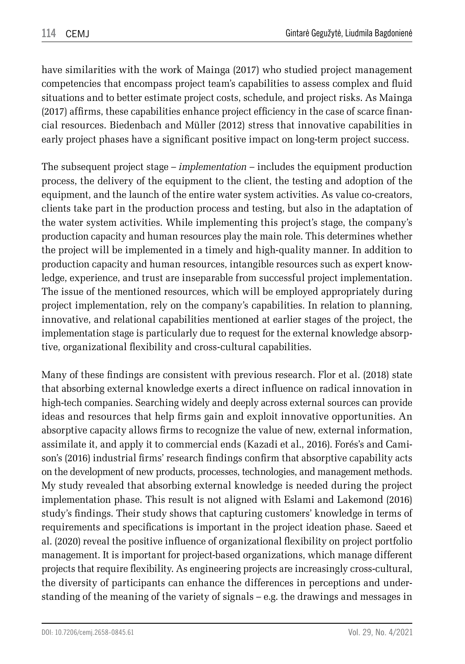have similarities with the work of Mainga (2017) who studied project management competencies that encompass project team's capabilities to assess complex and fluid situations and to better estimate project costs, schedule, and project risks. As Mainga (2017) affirms, these capabilities enhance project efficiency in the case of scarce financial resources. Biedenbach and Müller (2012) stress that innovative capabilities in early project phases have a significant positive impact on long-term project success.

The subsequent project stage – *implementation* – includes the equipment production process, the delivery of the equipment to the client, the testing and adoption of the equipment, and the launch of the entire water system activities. As value co-creators, clients take part in the production process and testing, but also in the adaptation of the water system activities. While implementing this project's stage, the company's production capacity and human resources play the main role. This determines whether the project will be implemented in a timely and high-quality manner. In addition to production capacity and human resources, intangible resources such as expert knowledge, experience, and trust are inseparable from successful project implementation. The issue of the mentioned resources, which will be employed appropriately during project implementation, rely on the company's capabilities. In relation to planning, innovative, and relational capabilities mentioned at earlier stages of the project, the implementation stage is particularly due to request for the external knowledge absorptive, organizational flexibility and cross-cultural capabilities.

Many of these findings are consistent with previous research. Flor et al. (2018) state that absorbing external knowledge exerts a direct influence on radical innovation in high-tech companies. Searching widely and deeply across external sources can provide ideas and resources that help firms gain and exploit innovative opportunities. An absorptive capacity allows firms to recognize the value of new, external information, assimilate it, and apply it to commercial ends (Kazadi et al., 2016). Forés's and Camison's (2016) industrial firms' research findings confirm that absorptive capability acts on the development of new products, processes, technologies, and management methods. My study revealed that absorbing external knowledge is needed during the project implementation phase. This result is not aligned with Eslami and Lakemond (2016) study's findings. Their study shows that capturing customers' knowledge in terms of requirements and specifications is important in the project ideation phase. Saeed et al. (2020) reveal the positive influence of organizational flexibility on project portfolio management. It is important for project-based organizations, which manage different projects that require flexibility. As engineering projects are increasingly cross-cultural, the diversity of participants can enhance the differences in perceptions and understanding of the meaning of the variety of signals – e.g. the drawings and messages in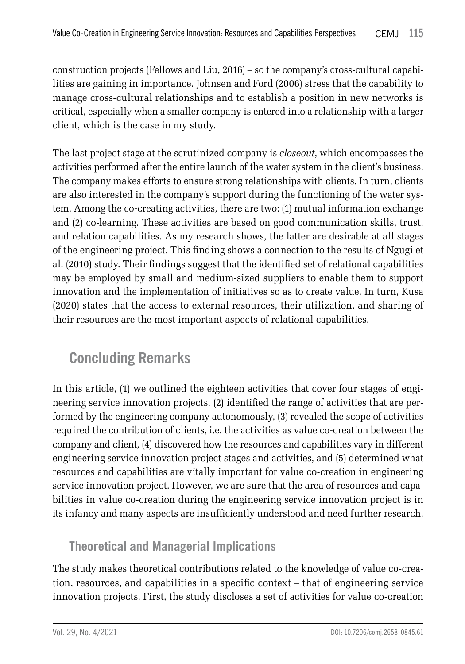construction projects (Fellows and Liu, 2016) – so the company's cross-cultural capabilities are gaining in importance. Johnsen and Ford (2006) stress that the capability to manage cross-cultural relationships and to establish a position in new networks is critical, especially when a smaller company is entered into a relationship with a larger client, which is the case in my study.

The last project stage at the scrutinized company is *closeout*, which encompasses the activities performed after the entire launch of the water system in the client's business. The company makes efforts to ensure strong relationships with clients. In turn, clients are also interested in the company's support during the functioning of the water system. Among the co-creating activities, there are two: (1) mutual information exchange and (2) co-learning. These activities are based on good communication skills, trust, and relation capabilities. As my research shows, the latter are desirable at all stages of the engineering project. This finding shows a connection to the results of Ngugi et al. (2010) study. Their findings suggest that the identified set of relational capabilities may be employed by small and medium-sized suppliers to enable them to support innovation and the implementation of initiatives so as to create value. In turn, Kusa (2020) states that the access to external resources, their utilization, and sharing of their resources are the most important aspects of relational capabilities.

# **Concluding Remarks**

In this article, (1) we outlined the eighteen activities that cover four stages of engineering service innovation projects, (2) identified the range of activities that are performed by the engineering company autonomously, (3) revealed the scope of activities required the contribution of clients, i.e. the activities as value co-creation between the company and client, (4) discovered how the resources and capabilities vary in different engineering service innovation project stages and activities, and (5) determined what resources and capabilities are vitally important for value co-creation in engineering service innovation project. However, we are sure that the area of resources and capabilities in value co-creation during the engineering service innovation project is in its infancy and many aspects are insufficiently understood and need further research.

## **Theoretical and Managerial Implications**

The study makes theoretical contributions related to the knowledge of value co-creation, resources, and capabilities in a specific context – that of engineering service innovation projects. First, the study discloses a set of activities for value co-creation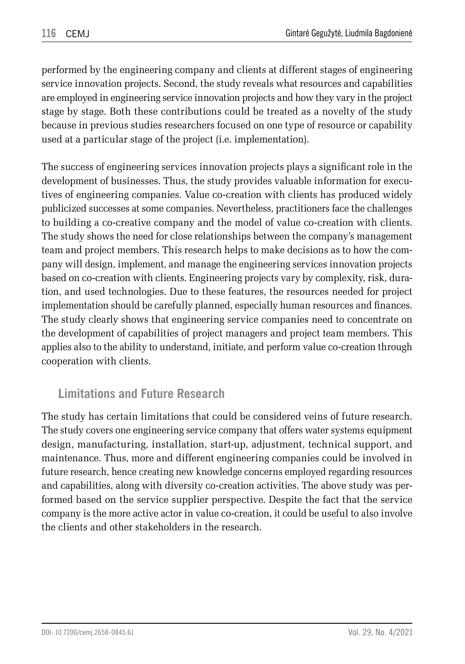performed by the engineering company and clients at different stages of engineering service innovation projects. Second, the study reveals what resources and capabilities are employed in engineering service innovation projects and how they vary in the project stage by stage. Both these contributions could be treated as a novelty of the study because in previous studies researchers focused on one type of resource or capability used at a particular stage of the project (i.e. implementation).

The success of engineering services innovation projects plays a significant role in the development of businesses. Thus, the study provides valuable information for executives of engineering companies. Value co-creation with clients has produced widely publicized successes at some companies. Nevertheless, practitioners face the challenges to building a co-creative company and the model of value co-creation with clients. The study shows the need for close relationships between the company's management team and project members. This research helps to make decisions as to how the company will design, implement, and manage the engineering services innovation projects based on co-creation with clients. Engineering projects vary by complexity, risk, duration, and used technologies. Due to these features, the resources needed for project implementation should be carefully planned, especially human resources and finances. The study clearly shows that engineering service companies need to concentrate on the development of capabilities of project managers and project team members. This applies also to the ability to understand, initiate, and perform value co-creation through cooperation with clients.

## **Limitations and Future Research**

The study has certain limitations that could be considered veins of future research. The study covers one engineering service company that offers water systems equipment design, manufacturing, installation, start-up, adjustment, technical support, and maintenance. Thus, more and different engineering companies could be involved in future research, hence creating new knowledge concerns employed regarding resources and capabilities, along with diversity co-creation activities. The above study was performed based on the service supplier perspective. Despite the fact that the service company is the more active actor in value co-creation, it could be useful to also involve the clients and other stakeholders in the research.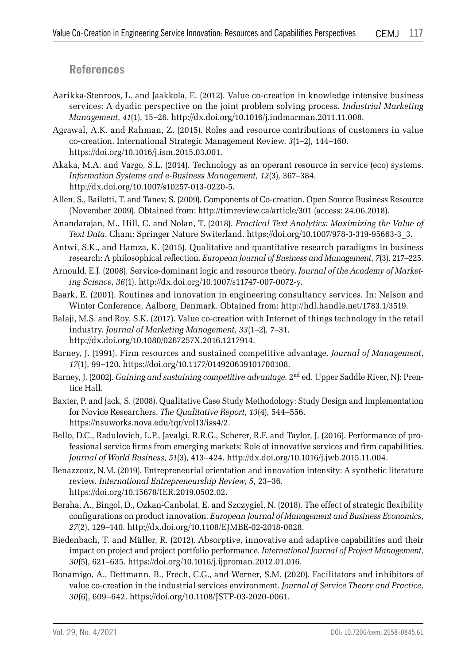### **References**

- Aarikka-Stenroos, L. and Jaakkola, E. (2012). Value co-creation in knowledge intensive business services: A dyadic perspective on the joint problem solving process. *Industrial Marketing Management*, *41*(1), 15–26. http://dx.doi.org/10.1016/j.indmarman.2011.11.008.
- Agrawal, A.K. and Rahman, Z. (2015). Roles and resource contributions of customers in value co-creation. International Strategic Management Review, *3*(1–2), 144–160. https://doi.org/10.1016/j.ism.2015.03.001.
- Akaka, M.A. and Vargo, S.L. (2014). Technology as an operant resource in service (eco) systems. *Information Systems and e-Business Management*, *12*(3), 367–384. http://dx.doi.org/10.1007/s10257-013-0220-5.
- Allen, S., Bailetti, T. and Tanev, S. (2009). Components of Co-creation. Open Source Business Resource (November 2009). Obtained from: http://timreview.ca/article/301 (access: 24.06.2018).
- Anandarajan, M., Hill, C. and Nolan, T. (2018). *Practical Text Analytics: Maximizing the Value of Text Data*. Cham: Springer Nature Switerland. https://doi.org/10.1007/978-3-319-95663-3\_3.
- Antwi, S.K., and Hamza, K. (2015). Qualitative and quantitative research paradigms in business research: A philosophical reflection. *European Journal of Business and Management*, *7*(3), 217–225.
- Arnould, E.J. (2008). Service-dominant logic and resource theory. *Journal of the Academy of Marketing Science*, *36*(1). http://dx.doi.org/10.1007/s11747-007-0072-y.
- Baark, E. (2001). Routines and innovation in engineering consultancy services. In: Nelson and Winter Conference, Aalborg, Denmark. Obtained from: http://hdl.handle.net/1783.1/3519.
- Balaji, M.S. and Roy, S.K. (2017). Value co-creation with Internet of things technology in the retail industry. *Journal of Marketing Management*, *33*(1–2), 7–31. http://dx.doi.org/10.1080/0267257X.2016.1217914.
- Barney, J. (1991). Firm resources and sustained competitive advantage. *Journal of Management*, *17*(1), 99–120. https://doi.org/10.1177/014920639101700108.
- Barney, J. (2002). *Gaining and sustaining competitive advantage*. 2nd ed. Upper Saddle River, NJ: Prentice Hall.
- Baxter, P. and Jack, S. (2008). Qualitative Case Study Methodology: Study Design and Implementation for Novice Researchers. *The Qualitative Report*, *13*(4), 544–556. https://nsuworks.nova.edu/tqr/vol13/iss4/2.
- Bello, D.C., Radulovich, L.P., Javalgi, R.R.G., Scherer, R.F. and Taylor, J. (2016). Performance of professional service firms from emerging markets: Role of innovative services and firm capabilities. *Journal of World Business*, *51*(3), 413–424. http://dx.doi.org/10.1016/j.jwb.2015.11.004.
- Benazzouz, N.M. (2019). Entrepreneurial orientation and innovation intensity: A synthetic literature review*. International Entrepreneurship Review*, *5*, 23–36. https://doi.org/10.15678/IER.2019.0502.02.
- Beraha, A., Bingol, D., Ozkan-Canbolat, E. and Szczygiel, N. (2018). The effect of strategic flexibility configurations on product innovation. *European Journal of Management and Business Economics*, *27*(2), 129–140. http://dx.doi.org/10.1108/EJMBE-02-2018-0028.
- Biedenbach, T. and Müller, R. (2012). Absorptive, innovative and adaptive capabilities and their impact on project and project portfolio performance. *International Journal of Project Management*, *30*(5), 621–635. https://doi.org/10.1016/j.ijproman.2012.01.016.
- Bonamigo, A., Dettmann, B., Frech, C.G., and Werner, S.M. (2020). Facilitators and inhibitors of value co-creation in the industrial services environment. *Journal of Service Theory and Practice*, *30*(6), 609–642. https://doi.org/10.1108/JSTP-03-2020-0061.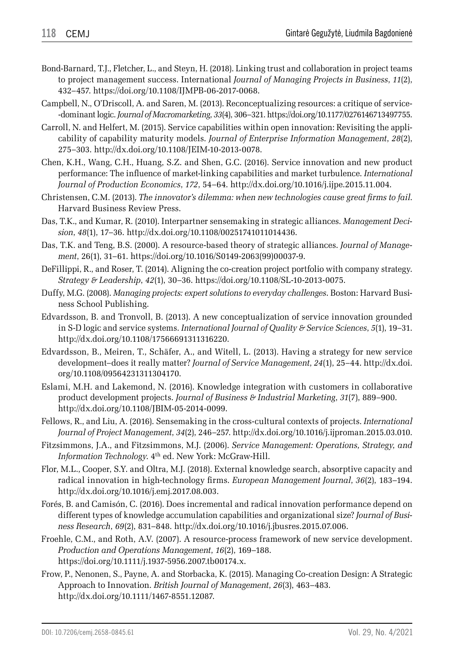- Bond-Barnard, T.J., Fletcher, L., and Steyn, H. (2018). Linking trust and collaboration in project teams to project management success. International *Journal of Managing Projects in Business*, *11*(2), 432–457. https://doi.org/10.1108/IJMPB-06-2017-0068.
- Campbell, N., O'Driscoll, A. and Saren, M. (2013). Reconceptualizing resources: a critique of service- -dominant logic. *Journal of Macromarketing*, *33*(4), 306–321. https://doi.org/10.1177/0276146713497755.
- Carroll, N. and Helfert, M. (2015). Service capabilities within open innovation: Revisiting the applicability of capability maturity models. *Journal of Enterprise Information Management*, *28*(2), 275–303. http://dx.doi.org/10.1108/JEIM-10-2013-0078.
- Chen, K.H., Wang, C.H., Huang, S.Z. and Shen, G.C. (2016). Service innovation and new product performance: The influence of market-linking capabilities and market turbulence. *International Journal of Production Economics*, *172*, 54–64. http://dx.doi.org/10.1016/j.ijpe.2015.11.004.
- Christensen, C.M. (2013). *The innovator's dilemma: when new technologies cause great firms to fail*. Harvard Business Review Press.
- Das, T.K., and Kumar, R. (2010). Interpartner sensemaking in strategic alliances. *Management Decision*, *48*(1), 17–36. http://dx.doi.org/10.1108/00251741011014436.
- Das, T.K. and Teng, B.S. (2000). A resource-based theory of strategic alliances. *Journal of Management*, 26(1), 31–61. https://doi.org/10.1016/S0149-2063(99)00037-9.
- DeFillippi, R., and Roser, T. (2014). Aligning the co-creation project portfolio with company strategy. *Strategy & Leadership*, *42*(1), 30–36. https://doi.org/10.1108/SL-10-2013-0075.
- Duffy, M.G. (2008). *Managing projects: expert solutions to everyday challenges*. Boston: Harvard Business School Publishing.
- Edvardsson, B. and Tronvoll, B. (2013). A new conceptualization of service innovation grounded in S-D logic and service systems. *International Journal of Quality & Service Sciences*, *5*(1), 19–31. http://dx.doi.org/10.1108/17566691311316220.
- Edvardsson, B., Meiren, T., Schäfer, A., and Witell, L. (2013). Having a strategy for new service development–does it really matter? *Journal of Service Management*, *24*(1), 25–44. http://dx.doi. org/10.1108/09564231311304170.
- Eslami, M.H. and Lakemond, N. (2016). Knowledge integration with customers in collaborative product development projects. *Journal of Business & Industrial Marketing*, *31*(7), 889–900. http://dx.doi.org/10.1108/JBIM-05-2014-0099.
- Fellows, R., and Liu, A. (2016). Sensemaking in the cross-cultural contexts of projects. *International Journal of Project Management*, *34*(2), 246–257. http://dx.doi.org/10.1016/j.ijproman.2015.03.010.
- Fitzsimmons, J.A., and Fitzsimmons, M.J. (2006). *Service Management: Operations, Strategy, and Information Technology*. 4th ed. New York: McGraw-Hill.
- Flor, M.L., Cooper, S.Y. and Oltra, M.J. (2018). External knowledge search, absorptive capacity and radical innovation in high-technology firms. *European Management Journal*, *36*(2), 183–194. http://dx.doi.org/10.1016/j.emj.2017.08.003.
- Forés, B. and Camisón, C. (2016). Does incremental and radical innovation performance depend on different types of knowledge accumulation capabilities and organizational size? *Journal of Business Research*, *69*(2), 831–848. http://dx.doi.org/10.1016/j.jbusres.2015.07.006.
- Froehle, C.M., and Roth, A.V. (2007). A resource-process framework of new service development. *Production and Operations Management*, *16*(2), 169–188. https://doi.org/10.1111/j.1937-5956.2007.tb00174.x.
- Frow, P., Nenonen, S., Payne, A. and Storbacka, K. (2015). Managing Co-creation Design: A Strategic Approach to Innovation. *British Journal of Management*, *26*(3), 463–483. http://dx.doi.org/10.1111/1467-8551.12087.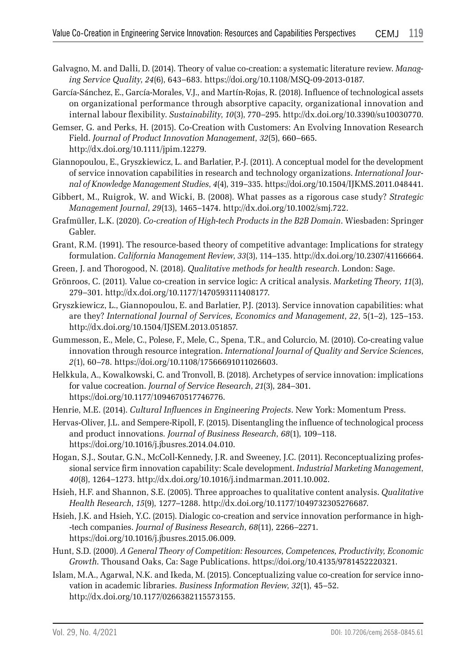- Galvagno, M. and Dalli, D. (2014). Theory of value co-creation: a systematic literature review. *Managing Service Quality*, *24*(6), 643–683. https://doi.org/10.1108/MSQ-09-2013-0187.
- García-Sánchez, E., García-Morales, V.J., and Martín-Rojas, R. (2018). Influence of technological assets on organizational performance through absorptive capacity, organizational innovation and internal labour flexibility. *Sustainability*, *10*(3), 770–295. http://dx.doi.org/10.3390/su10030770.
- Gemser, G. and Perks, H. (2015). Co-Creation with Customers: An Evolving Innovation Research Field. *Journal of Product Innovation Management*, *32*(5), 660–665. http://dx.doi.org/10.1111/jpim.12279.
- Giannopoulou, E., Gryszkiewicz, L. and Barlatier, P.-J. (2011). A conceptual model for the development of service innovation capabilities in research and technology organizations. *International Journal of Knowledge Management Studies*, *4*(4), 319–335. https://doi.org/10.1504/IJKMS.2011.048441.
- Gibbert, M., Ruigrok, W. and Wicki, B. (2008). What passes as a rigorous case study? *Strategic Management Journal*, *29*(13), 1465–1474. http://dx.doi.org/10.1002/smj.722.
- Grafmüller, L.K. (2020). *Co-creation of High-tech Products in the B2B Domain*. Wiesbaden: Springer Gabler.
- Grant, R.M. (1991). The resource-based theory of competitive advantage: Implications for strategy formulation. *California Management Review*, *33*(3), 114–135. http://dx.doi.org/10.2307/41166664.
- Green, J. and Thorogood, N. (2018). *Qualitative methods for health research*. London: Sage.
- Grönroos, C. (2011). Value co-creation in service logic: A critical analysis. *Marketing Theory*, *11*(3), 279–301. http://dx.doi.org/10.1177/1470593111408177.
- Gryszkiewicz, L., Giannopoulou, E. and Barlatier, P.J. (2013). Service innovation capabilities: what are they? *International Journal of Services, Economics and Management*, *22*, 5(1–2), 125–153. http://dx.doi.org/10.1504/IJSEM.2013.051857.
- Gummesson, E., Mele, C., Polese, F., Mele, C., Spena, T.R., and Colurcio, M. (2010). Co-creating value innovation through resource integration. *International Journal of Quality and Service Sciences*, *2*(1), 60–78. https://doi.org/10.1108/17566691011026603.
- Helkkula, A., Kowalkowski, C. and Tronvoll, B. (2018). Archetypes of service innovation: implications for value cocreation. *Journal of Service Research*, *21*(3), 284–301. https://doi.org/10.1177/1094670517746776.
- Henrie, M.E. (2014). *Cultural Influences in Engineering Projects*. New York: Momentum Press.
- Hervas-Oliver, J.L. and Sempere-Ripoll, F. (2015). Disentangling the influence of technological process and product innovations*. Journal of Business Research*, *68*(1), 109–118. https://doi.org/10.1016/j.jbusres.2014.04.010.
- Hogan, S.J., Soutar, G.N., McColl-Kennedy, J.R. and Sweeney, J.C. (2011). Reconceptualizing professional service firm innovation capability: Scale development. *Industrial Marketing Management*, *40*(8), 1264–1273. http://dx.doi.org/10.1016/j.indmarman.2011.10.002.
- Hsieh, H.F. and Shannon, S.E. (2005). Three approaches to qualitative content analysis. *Qualitative Health Research*, *15*(9), 1277–1288. http://dx.doi.org/10.1177/1049732305276687.
- Hsieh, J.K. and Hsieh, Y.C. (2015). Dialogic co-creation and service innovation performance in high- -tech companies. *Journal of Business Research*, *68*(11), 2266–2271. https://doi.org/10.1016/j.jbusres.2015.06.009.
- Hunt, S.D. (2000). *A General Theory of Competition: Resources, Competences, Productivity, Economic Growth*. Thousand Oaks, Ca: Sage Publications. https://doi.org/10.4135/9781452220321.
- Islam, M.A., Agarwal, N.K. and Ikeda, M. (2015). Conceptualizing value co-creation for service innovation in academic libraries. *Business Information Review*, *32*(1), 45–52. http://dx.doi.org/10.1177/0266382115573155.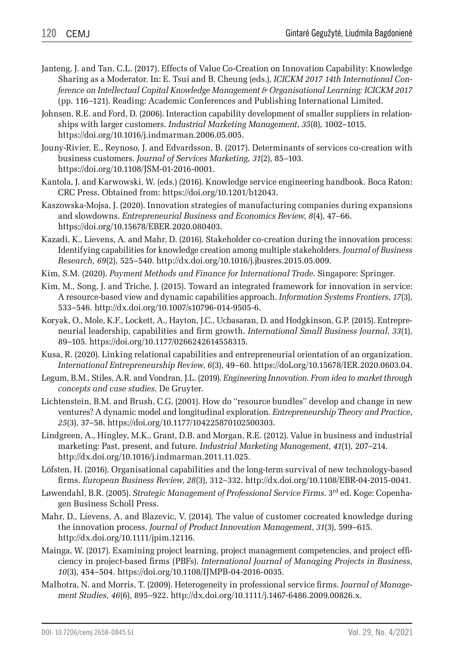- Janteng, J. and Tan, C.L. (2017). Effects of Value Co-Creation on Innovation Capability: Knowledge Sharing as a Moderator. In: E. Tsui and B. Cheung (eds.), *ICICKM 2017 14th International Conference on Intellectual Capital Knowledge Management & Organisational Learning: ICICKM 2017* (pp. 116–121). Reading: Academic Conferences and Publishing International Limited.
- Johnsen, R.E. and Ford, D. (2006). Interaction capability development of smaller suppliers in relationships with larger customers. *Industrial Marketing Management*, *35*(8), 1002–1015. https://doi.org/10.1016/j.indmarman.2006.05.005.
- Jouny-Rivier, E., Reynoso, J. and Edvardsson, B. (2017). Determinants of services co-creation with business customers. *Journal of Services Marketing*, *31*(2), 85–103. https://doi.org/10.1108/JSM-01-2016-0001.
- Kantola, J. and Karwowski, W. (eds.) (2016). Knowledge service engineering handbook. Boca Raton: CRC Press. Obtained from: https://doi.org/10.1201/b12043.
- Kaszowska-Mojsa, J. (2020). Innovation strategies of manufacturing companies during expansions and slowdowns. *Entrepreneurial Business and Economics Review*, *8*(4), 47–66. https://doi.org/10.15678/EBER.2020.080403.
- Kazadi, K., Lievens, A. and Mahr, D. (2016). Stakeholder co-creation during the innovation process: Identifying capabilities for knowledge creation among multiple stakeholders. *Journal of Business Research*, *69*(2), 525–540. http://dx.doi.org/10.1016/j.jbusres.2015.05.009.
- Kim, S.M. (2020). *Payment Methods and Finance for International Trade*. Singapore: Springer.
- Kim, M., Song, J. and Triche, J. (2015). Toward an integrated framework for innovation in service: A resource-based view and dynamic capabilities approach. *Information Systems Frontiers*, *17*(3), 533–546. http://dx.doi.org/10.1007/s10796-014-9505-6.
- Koryak, O., Mole, K.F., Lockett, A., Hayton, J.C., Ucbasaran, D. and Hodgkinson, G.P. (2015). Entrepreneurial leadership, capabilities and firm growth. *International Small Business Journal*, *33*(1), 89–105. https://doi.org/10.1177/0266242614558315.
- Kusa, R. (2020). Linking relational capabilities and entrepreneurial orientation of an organization. *International Entrepreneurship Review*, *6*(3), 49–60. https://doLorg/10.15678/IER.2020.0603.04.
- Legum, B.M., Stiles, A.R. and Vondran, J.L. (2019). *Engineering Innovation. From idea to market through concepts and case studies*. De Gruyter.
- Lichtenstein, B.M. and Brush, C.G. (2001). How do ''resource bundles'' develop and change in new ventures? A dynamic model and longitudinal exploration. *Entrepreneurship Theory and Practice*, *25*(3), 37–58. https://doi.org/10.1177/104225870102500303.
- Lindgreen, A., Hingley, M.K., Grant, D.B. and Morgan, R.E. (2012). Value in business and industrial marketing: Past, present, and future. *Industrial Marketing Management*, *41*(1), 207–214. http://dx.doi.org/10.1016/j.indmarman.2011.11.025.
- Löfsten, H. (2016). Organisational capabilities and the long-term survival of new technology-based firms. *European Business Review*, *28*(3), 312–332. http://dx.doi.org/10.1108/EBR-04-2015-0041.
- Løwendahl, B.R. (2005). *Strategic Management of Professional Service Firms*. 3rd ed. Koge: Copenhagen Business Scholl Press.
- Mahr, D., Lievens, A. and Blazevic, V. (2014). The value of customer cocreated knowledge during the innovation process. *Journal of Product Innovation Management*, *31*(3), 599–615. http://dx.doi.org/10.1111/jpim.12116.
- Mainga, W. (2017). Examining project learning, project management competencies, and project efficiency in project-based firms (PBFs). *International Journal of Managing Projects in Business*, *10*(3), 454–504. https://doi.org/10.1108/IJMPB-04-2016-0035.
- Malhotra, N. and Morris, T. (2009). Heterogeneity in professional service firms. *Journal of Management Studies*, *46*(6), 895–922. http://dx.doi.org/10.1111/j.1467-6486.2009.00826.x.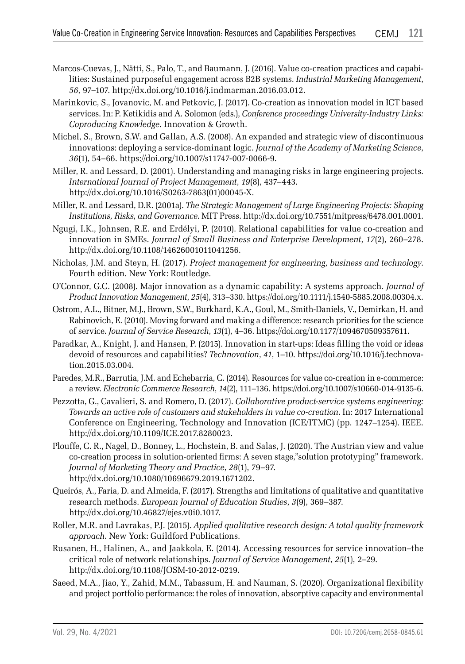- Marcos-Cuevas, J., Nätti, S., Palo, T., and Baumann, J. (2016). Value co-creation practices and capabilities: Sustained purposeful engagement across B2B systems. *Industrial Marketing Management*, *56*, 97–107. http://dx.doi.org/10.1016/j.indmarman.2016.03.012.
- Marinkovic, S., Jovanovic, M. and Petkovic, J. (2017). Co-creation as innovation model in ICT based services. In: P. Ketikidis and A. Solomon (eds.), *Conference proceedings University-Industry Links: Coproducing Knowledge*. Innovation & Growth.
- Michel, S., Brown, S.W. and Gallan, A.S. (2008). An expanded and strategic view of discontinuous innovations: deploying a service-dominant logic. *Journal of the Academy of Marketing Science*, *36*(1), 54–66. https://doi.org/10.1007/s11747-007-0066-9.
- Miller, R. and Lessard, D. (2001). Understanding and managing risks in large engineering projects. *International Journal of Project Management*, *19*(8), 437–443. http://dx.doi.org/10.1016/S0263-7863(01)00045-X.
- Miller, R. and Lessard, D.R. (2001a). *The Strategic Management of Large Engineering Projects: Shaping Institutions, Risks, and Governance*. MIT Press. http://dx.doi.org/10.7551/mitpress/6478.001.0001.
- Ngugi, I.K., Johnsen, R.E. and Erdélyi, P. (2010). Relational capabilities for value co-creation and innovation in SMEs. *Journal of Small Business and Enterprise Development*, *17*(2), 260–278. http://dx.doi.org/10.1108/14626001011041256.
- Nicholas, J.M. and Steyn, H. (2017). *Project management for engineering, business and technology*. Fourth edition. New York: Routledge.
- O'Connor, G.C. (2008). Major innovation as a dynamic capability: A systems approach. *Journal of Product Innovation Management*, *25*(4), 313–330. https://doi.org/10.1111/j.1540-5885.2008.00304.x.
- Ostrom, A.L., Bitner, M.J., Brown, S.W., Burkhard, K.A., Goul, M., Smith-Daniels, V., Demirkan, H. and Rabinovich, E. (2010). Moving forward and making a difference: research priorities for the science of service. *Journal of Service Research*, *13*(1), 4–36. https://doi.org/10.1177/1094670509357611.
- Paradkar, A., Knight, J. and Hansen, P. (2015). Innovation in start-ups: Ideas filling the void or ideas devoid of resources and capabilities? *Technovation*, *41*, 1–10. https://doi.org/10.1016/j.technovation.2015.03.004.
- Paredes, M.R., Barrutia, J.M. and Echebarria, C. (2014). Resources for value co-creation in e-commerce: a review. *Electronic Commerce Research*, *14*(2), 111–136. https://doi.org/10.1007/s10660-014-9135-6.
- Pezzotta, G., Cavalieri, S. and Romero, D. (2017). *Collaborative product-service systems engineering: Towards an active role of customers and stakeholders in value co-creation*. In: 2017 International Conference on Engineering, Technology and Innovation (ICE/ITMC) (pp. 1247–1254). IEEE. http://dx.doi.org/10.1109/ICE.2017.8280023.
- Plouffe, C. R., Nagel, D., Bonney, L., Hochstein, B. and Salas, J. (2020). The Austrian view and value co-creation process in solution-oriented firms: A seven stage,"solution prototyping" framework. *Journal of Marketing Theory and Practice*, *28*(1), 79–97. http://dx.doi.org/10.1080/10696679.2019.1671202.
- Queirós, A., Faria, D. and Almeida, F. (2017). Strengths and limitations of qualitative and quantitative research methods. *European Journal of Education Studies*, *3*(9), 369–387. http://dx.doi.org/10.46827/ejes.v0i0.1017.
- Roller, M.R. and Lavrakas, P.J. (2015). *Applied qualitative research design: A total quality framework approach*. New York: Guildford Publications.
- Rusanen, H., Halinen, A., and Jaakkola, E. (2014). Accessing resources for service innovation–the critical role of network relationships. *Journal of Service Management*, *25*(1), 2–29. http://dx.doi.org/10.1108/JOSM-10-2012-0219.
- Saeed, M.A., Jiao, Y., Zahid, M.M., Tabassum, H. and Nauman, S. (2020). Organizational flexibility and project portfolio performance: the roles of innovation, absorptive capacity and environmental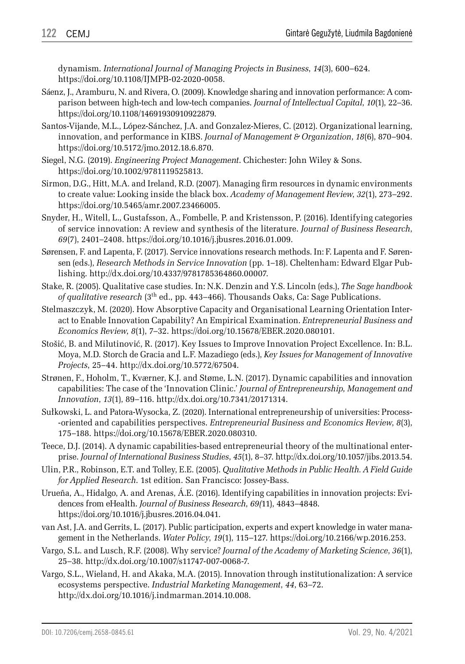dynamism. *International Journal of Managing Projects in Business*, *14*(3), 600–624. https://doi.org/10.1108/IJMPB-02-2020-0058.

- Sáenz, J., Aramburu, N. and Rivera, O. (2009). Knowledge sharing and innovation performance: A comparison between high-tech and low-tech companies. *Journal of Intellectual Capital*, *10*(1), 22–36. https://doi.org/10.1108/14691930910922879.
- Santos-Vijande, M.L., López-Sánchez, J.A. and Gonzalez-Mieres, C. (2012). Organizational learning, innovation, and performance in KIBS. *Journal of Management & Organization*, *18*(6), 870–904. https://doi.org/10.5172/jmo.2012.18.6.870.
- Siegel, N.G. (2019). *Engineering Project Management*. Chichester: John Wiley & Sons. https://doi.org/10.1002/9781119525813.
- Sirmon, D.G., Hitt, M.A. and Ireland, R.D. (2007). Managing firm resources in dynamic environments to create value: Looking inside the black box. *Academy of Management Review*, *32*(1), 273–292. https://doi.org/10.5465/amr.2007.23466005.
- Snyder, H., Witell, L., Gustafsson, A., Fombelle, P. and Kristensson, P. (2016). Identifying categories of service innovation: A review and synthesis of the literature. *Journal of Business Research*, *69*(7), 2401–2408. https://doi.org/10.1016/j.jbusres.2016.01.009.
- Sørensen, F. and Lapenta, F. (2017). Service innovations research methods. In: F. Lapenta and F. Sørensen (eds.), *Research Methods in Service Innovation* (pp. 1–18). Cheltenham: Edward Elgar Publishing. http://dx.doi.org/10.4337/9781785364860.00007.
- Stake, R. (2005). Qualitative case studies. In: N.K. Denzin and Y.S. Lincoln (eds.), *The Sage handbook of qualitative research* (3th ed., pp. 443–466). Thousands Oaks, Ca: Sage Publications.
- Stelmaszczyk, M. (2020). How Absorptive Capacity and Organisational Learning Orientation Interact to Enable Innovation Capability? An Empirical Examination. *Entrepreneurial Business and Economics Review*, *8*(1), 7–32. https://doi.org/10.15678/EBER.2020.080101.
- Stošić, B. and Milutinović, R. (2017). Key Issues to Improve Innovation Project Excellence. In: B.L. Moya, M.D. Storch de Gracia and L.F. Mazadiego (eds.), *Key Issues for Management of Innovative Projects*, 25–44. http://dx.doi.org/10.5772/67504.
- Strønen, F., Hoholm, T., Kværner, K.J. and Støme, L.N. (2017). Dynamic capabilities and innovation capabilities: The case of the 'Innovation Clinic.' *Journal of Entrepreneurship, Management and Innovation*, *13*(1), 89–116. http://dx.doi.org/10.7341/20171314.
- Sułkowski, L. and Patora-Wysocka, Z. (2020). International entrepreneurship of universities: Process- -oriented and capabilities perspectives. *Entrepreneurial Business and Economics Review*, *8*(3), 175–188. https://doi.org/10.15678/EBER.2020.080310.
- Teece, D.J. (2014). A dynamic capabilities-based entrepreneurial theory of the multinational enterprise. *Journal of International Business Studies*, *45*(1), 8–37. http://dx.doi.org/10.1057/jibs.2013.54.
- Ulin, P.R., Robinson, E.T. and Tolley, E.E. (2005). *Qualitative Methods in Public Health. A Field Guide for Applied Research*. 1st edition. San Francisco: Jossey-Bass.
- Urueña, A., Hidalgo, A. and Arenas, Á.E. (2016). Identifying capabilities in innovation projects: Evidences from eHealth. *Journal of Business Research*, *69(*11), 4843–4848. https://doi.org/10.1016/j.jbusres.2016.04.041.
- van Ast, J.A. and Gerrits, L. (2017). Public participation, experts and expert knowledge in water management in the Netherlands. *Water Policy*, *19*(1), 115–127. https://doi.org/10.2166/wp.2016.253.
- Vargo, S.L. and Lusch, R.F. (2008). Why service? *Journal of the Academy of Marketing Science*, *36*(1), 25–38. http://dx.doi.org/10.1007/s11747-007-0068-7.
- Vargo, S.L., Wieland, H. and Akaka, M.A. (2015). Innovation through institutionalization: A service ecosystems perspective. *Industrial Marketing Management*, *44*, 63–72. http://dx.doi.org/10.1016/j.indmarman.2014.10.008.